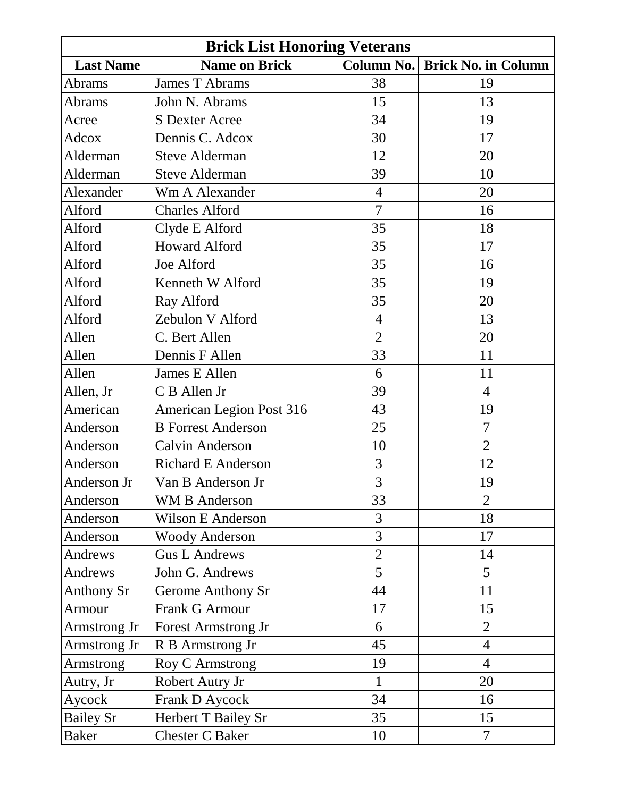| <b>Brick List Honoring Veterans</b> |                                 |                |                            |
|-------------------------------------|---------------------------------|----------------|----------------------------|
| <b>Last Name</b>                    | <b>Name on Brick</b>            | Column No.     | <b>Brick No. in Column</b> |
| Abrams                              | James T Abrams                  | 38             | 19                         |
| Abrams                              | John N. Abrams                  | 15             | 13                         |
| Acree                               | <b>S</b> Dexter Acree           | 34             | 19                         |
| Adcox                               | Dennis C. Adcox                 | 30             | 17                         |
| Alderman                            | <b>Steve Alderman</b>           | 12             | 20                         |
| Alderman                            | <b>Steve Alderman</b>           | 39             | 10                         |
| Alexander                           | <b>Wm A Alexander</b>           | $\overline{4}$ | 20                         |
| Alford                              | <b>Charles Alford</b>           | $\overline{7}$ | 16                         |
| Alford                              | Clyde E Alford                  | 35             | 18                         |
| Alford                              | <b>Howard Alford</b>            | 35             | 17                         |
| Alford                              | Joe Alford                      | 35             | 16                         |
| Alford                              | Kenneth W Alford                | 35             | 19                         |
| Alford                              | Ray Alford                      | 35             | 20                         |
| Alford                              | Zebulon V Alford                | $\overline{4}$ | 13                         |
| Allen                               | C. Bert Allen                   | $\overline{2}$ | 20                         |
| Allen                               | Dennis F Allen                  | 33             | 11                         |
| Allen                               | James E Allen                   | 6              | 11                         |
| Allen, Jr                           | C B Allen Jr                    | 39             | 4                          |
| American                            | <b>American Legion Post 316</b> | 43             | 19                         |
| Anderson                            | <b>B</b> Forrest Anderson       | 25             | $\overline{7}$             |
| Anderson                            | Calvin Anderson                 | 10             | $\overline{2}$             |
| Anderson                            | <b>Richard E Anderson</b>       | 3              | 12                         |
| Anderson Jr                         | Van B Anderson Jr               | 3              | 19                         |
| Anderson                            | <b>WM B Anderson</b>            | 33             | $\overline{2}$             |
| Anderson                            | Wilson E Anderson               | 3              | 18                         |
| Anderson                            | <b>Woody Anderson</b>           | 3              | 17                         |
| Andrews                             | <b>Gus L Andrews</b>            | $\overline{2}$ | 14                         |
| <b>Andrews</b>                      | John G. Andrews                 | 5              | 5                          |
| <b>Anthony Sr</b>                   | Gerome Anthony Sr               | 44             | 11                         |
| Armour                              | <b>Frank G Armour</b>           | 17             | 15                         |
| Armstrong Jr                        | <b>Forest Armstrong Jr</b>      | 6              | $\overline{2}$             |
| Armstrong Jr                        | R B Armstrong Jr                | 45             | $\overline{4}$             |
| Armstrong                           | <b>Roy C Armstrong</b>          | 19             | $\overline{4}$             |
| Autry, Jr                           | Robert Autry Jr                 | 1              | 20                         |
| Aycock                              | Frank D Aycock                  | 34             | 16                         |
| <b>Bailey Sr</b>                    | Herbert T Bailey Sr             | 35             | 15                         |
| <b>Baker</b>                        | <b>Chester C Baker</b>          | 10             | $\overline{7}$             |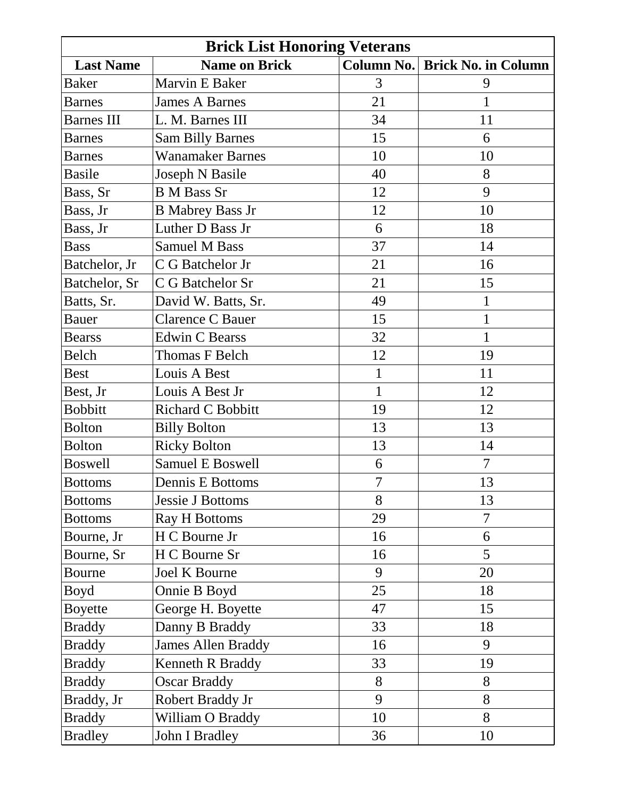| <b>Brick List Honoring Veterans</b> |                           |                   |                            |
|-------------------------------------|---------------------------|-------------------|----------------------------|
| <b>Last Name</b>                    | <b>Name on Brick</b>      | <b>Column No.</b> | <b>Brick No. in Column</b> |
| <b>Baker</b>                        | Marvin E Baker            | 3                 | 9                          |
| <b>Barnes</b>                       | <b>James A Barnes</b>     | 21                | $\mathbf{1}$               |
| <b>Barnes III</b>                   | L. M. Barnes III          | 34                | 11                         |
| <b>Barnes</b>                       | <b>Sam Billy Barnes</b>   | 15                | 6                          |
| <b>Barnes</b>                       | <b>Wanamaker Barnes</b>   | 10                | 10                         |
| <b>Basile</b>                       | Joseph N Basile           | 40                | 8                          |
| Bass, Sr                            | <b>B</b> M Bass Sr        | 12                | 9                          |
| Bass, Jr                            | <b>B</b> Mabrey Bass Jr   | 12                | 10                         |
| Bass, Jr                            | Luther D Bass Jr          | 6                 | 18                         |
| <b>Bass</b>                         | <b>Samuel M Bass</b>      | 37                | 14                         |
| Batchelor, Jr                       | C G Batchelor Jr          | 21                | 16                         |
| Batchelor, Sr                       | C G Batchelor Sr          | 21                | 15                         |
| Batts, Sr.                          | David W. Batts, Sr.       | 49                | $\mathbf{1}$               |
| <b>Bauer</b>                        | Clarence C Bauer          | 15                | $\mathbf{1}$               |
| <b>Bearss</b>                       | <b>Edwin C Bearss</b>     | 32                | $\mathbf 1$                |
| Belch                               | Thomas F Belch            | 12                | 19                         |
| <b>Best</b>                         | Louis A Best              | $\mathbf{1}$      | 11                         |
| Best, Jr                            | Louis A Best Jr           | $\mathbf{1}$      | 12                         |
| <b>Bobbitt</b>                      | Richard C Bobbitt         | 19                | 12                         |
| <b>Bolton</b>                       | <b>Billy Bolton</b>       | 13                | 13                         |
| <b>Bolton</b>                       | <b>Ricky Bolton</b>       | 13                | 14                         |
| <b>Boswell</b>                      | Samuel E Boswell          | 6                 | $\overline{7}$             |
| <b>Bottoms</b>                      | Dennis E Bottoms          | $\overline{7}$    | 13                         |
| <b>Bottoms</b>                      | <b>Jessie J Bottoms</b>   | 8                 | 13                         |
| <b>Bottoms</b>                      | <b>Ray H Bottoms</b>      | 29                | $\overline{7}$             |
| Bourne, Jr                          | H C Bourne Jr             | 16                | 6                          |
| Bourne, Sr                          | H C Bourne Sr             | 16                | 5                          |
| <b>Bourne</b>                       | <b>Joel K Bourne</b>      | 9                 | 20                         |
| Boyd                                | Onnie B Boyd              | 25                | 18                         |
| <b>Boyette</b>                      | George H. Boyette         | 47                | 15                         |
| <b>Braddy</b>                       | Danny B Braddy            | 33                | 18                         |
| <b>Braddy</b>                       | <b>James Allen Braddy</b> | 16                | 9                          |
| <b>Braddy</b>                       | Kenneth R Braddy          | 33                | 19                         |
| <b>Braddy</b>                       | <b>Oscar Braddy</b>       | 8                 | 8                          |
| Braddy, Jr                          | Robert Braddy Jr          | 9                 | 8                          |
| <b>Braddy</b>                       | William O Braddy          | 10                | 8                          |
| <b>Bradley</b>                      | John I Bradley            | 36                | 10                         |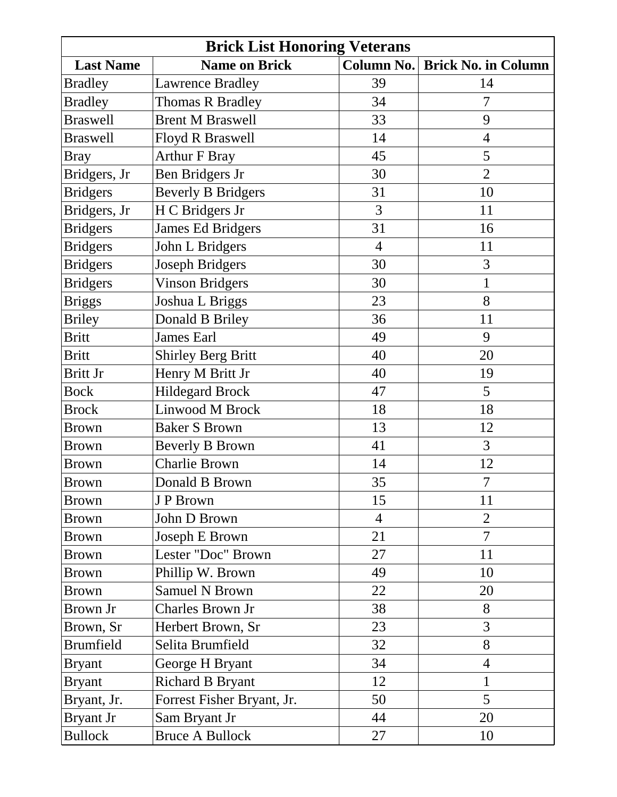| <b>Brick List Honoring Veterans</b> |                            |                   |                            |
|-------------------------------------|----------------------------|-------------------|----------------------------|
| <b>Last Name</b>                    | <b>Name on Brick</b>       | <b>Column No.</b> | <b>Brick No. in Column</b> |
| <b>Bradley</b>                      | <b>Lawrence Bradley</b>    | 39                | 14                         |
| <b>Bradley</b>                      | <b>Thomas R Bradley</b>    | 34                | $\overline{7}$             |
| <b>Braswell</b>                     | <b>Brent M Braswell</b>    | 33                | 9                          |
| <b>Braswell</b>                     | <b>Floyd R Braswell</b>    | 14                | $\overline{4}$             |
| Bray                                | <b>Arthur F Bray</b>       | 45                | 5                          |
| Bridgers, Jr                        | Ben Bridgers Jr            | 30                | $\overline{2}$             |
| <b>Bridgers</b>                     | <b>Beverly B Bridgers</b>  | 31                | 10                         |
| Bridgers, Jr                        | H C Bridgers Jr            | 3                 | 11                         |
| <b>Bridgers</b>                     | James Ed Bridgers          | 31                | 16                         |
| <b>Bridgers</b>                     | John L Bridgers            | $\overline{4}$    | 11                         |
| <b>Bridgers</b>                     | Joseph Bridgers            | 30                | 3                          |
| <b>Bridgers</b>                     | <b>Vinson Bridgers</b>     | 30                | $\mathbf{1}$               |
| <b>Briggs</b>                       | Joshua L Briggs            | 23                | 8                          |
| <b>Briley</b>                       | Donald B Briley            | 36                | 11                         |
| <b>Britt</b>                        | <b>James Earl</b>          | 49                | 9                          |
| <b>Britt</b>                        | <b>Shirley Berg Britt</b>  | 40                | 20                         |
| Britt Jr                            | Henry M Britt Jr           | 40                | 19                         |
| <b>Bock</b>                         | <b>Hildegard Brock</b>     | 47                | 5                          |
| <b>Brock</b>                        | Linwood M Brock            | 18                | 18                         |
| <b>Brown</b>                        | <b>Baker S Brown</b>       | 13                | 12                         |
| Brown                               | <b>Beverly B Brown</b>     | 41                | 3                          |
| Brown                               | <b>Charlie Brown</b>       | 14                | 12                         |
| <b>Brown</b>                        | Donald B Brown             | 35                | $\overline{7}$             |
| <b>Brown</b>                        | J P Brown                  | 15                | 11                         |
| Brown                               | John D Brown               | $\overline{4}$    | $\overline{2}$             |
| <b>Brown</b>                        | Joseph E Brown             | 21                | $\overline{7}$             |
| <b>Brown</b>                        | Lester "Doc" Brown         | 27                | 11                         |
| <b>Brown</b>                        | Phillip W. Brown           | 49                | 10                         |
| <b>Brown</b>                        | <b>Samuel N Brown</b>      | 22                | 20                         |
| Brown Jr                            | Charles Brown Jr           | 38                | 8                          |
| Brown, Sr                           | Herbert Brown, Sr          | 23                | 3                          |
| <b>Brumfield</b>                    | Selita Brumfield           | 32                | 8                          |
| <b>Bryant</b>                       | George H Bryant            | 34                | $\overline{4}$             |
| <b>Bryant</b>                       | <b>Richard B Bryant</b>    | 12                | $\mathbf{1}$               |
| Bryant, Jr.                         | Forrest Fisher Bryant, Jr. | 50                | 5                          |
| <b>Bryant Jr</b>                    | Sam Bryant Jr              | 44                | 20                         |
| <b>Bullock</b>                      | <b>Bruce A Bullock</b>     | 27                | 10                         |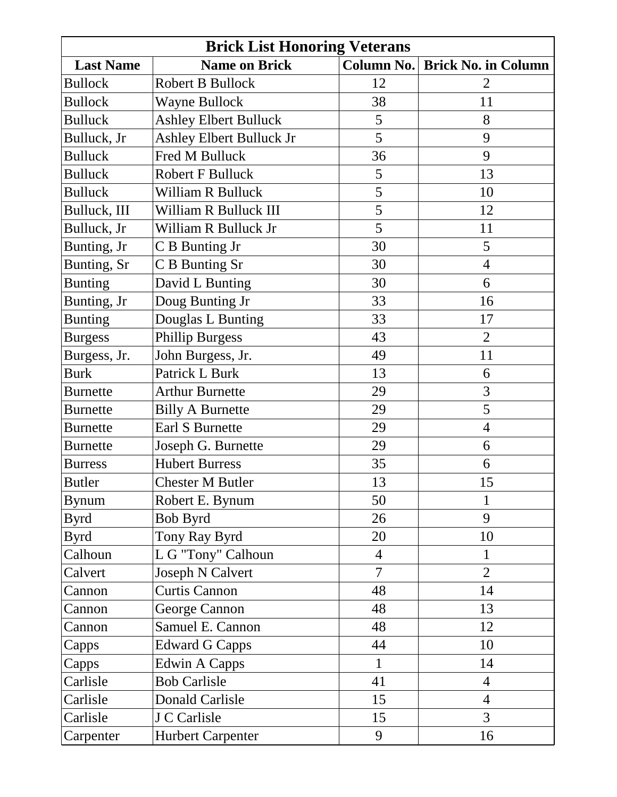| <b>Brick List Honoring Veterans</b> |                                 |                |                            |
|-------------------------------------|---------------------------------|----------------|----------------------------|
| <b>Last Name</b>                    | <b>Name on Brick</b>            | Column No.     | <b>Brick No. in Column</b> |
| <b>Bullock</b>                      | Robert B Bullock                | 12             | $\overline{2}$             |
| <b>Bullock</b>                      | Wayne Bullock                   | 38             | 11                         |
| <b>Bulluck</b>                      | <b>Ashley Elbert Bulluck</b>    | 5              | 8                          |
| Bulluck, Jr                         | <b>Ashley Elbert Bulluck Jr</b> | 5              | 9                          |
| <b>Bulluck</b>                      | Fred M Bulluck                  | 36             | 9                          |
| <b>Bulluck</b>                      | <b>Robert F Bulluck</b>         | 5              | 13                         |
| <b>Bulluck</b>                      | William R Bulluck               | 5              | 10                         |
| Bulluck, III                        | William R Bulluck III           | 5              | 12                         |
| Bulluck, Jr                         | William R Bulluck Jr            | 5              | 11                         |
| Bunting, Jr                         | C B Bunting Jr                  | 30             | 5                          |
| Bunting, Sr                         | C B Bunting Sr                  | 30             | $\overline{4}$             |
| <b>Bunting</b>                      | David L Bunting                 | 30             | 6                          |
| Bunting, Jr                         | Doug Bunting Jr                 | 33             | 16                         |
| <b>Bunting</b>                      | Douglas L Bunting               | 33             | 17                         |
| <b>Burgess</b>                      | <b>Phillip Burgess</b>          | 43             | $\overline{2}$             |
| Burgess, Jr.                        | John Burgess, Jr.               | 49             | 11                         |
| <b>Burk</b>                         | Patrick L Burk                  | 13             | 6                          |
| <b>Burnette</b>                     | <b>Arthur Burnette</b>          | 29             | 3                          |
| <b>Burnette</b>                     | <b>Billy A Burnette</b>         | 29             | 5                          |
| <b>Burnette</b>                     | Earl S Burnette                 | 29             | $\overline{4}$             |
| <b>Burnette</b>                     | Joseph G. Burnette              | 29             | 6                          |
| <b>Burress</b>                      | <b>Hubert Burress</b>           | 35             | 6                          |
| <b>Butler</b>                       | <b>Chester M Butler</b>         | 13             | 15                         |
| <b>Bynum</b>                        | Robert E. Bynum                 | 50             | $\mathbf{1}$               |
| <b>Byrd</b>                         | Bob Byrd                        | 26             | 9                          |
| <b>Byrd</b>                         | Tony Ray Byrd                   | 20             | 10                         |
| Calhoun                             | L G "Tony" Calhoun              | $\overline{4}$ | $\mathbf{1}$               |
| Calvert                             | Joseph N Calvert                | $\overline{7}$ | $\overline{2}$             |
| Cannon                              | <b>Curtis Cannon</b>            | 48             | 14                         |
| Cannon                              | George Cannon                   | 48             | 13                         |
| Cannon                              | Samuel E. Cannon                | 48             | 12                         |
| Capps                               | <b>Edward G Capps</b>           | 44             | 10                         |
| Capps                               | Edwin A Capps                   | 1              | 14                         |
| Carlisle                            | <b>Bob Carlisle</b>             | 41             | $\overline{4}$             |
| Carlisle                            | <b>Donald Carlisle</b>          | 15             | $\overline{4}$             |
| Carlisle                            | J C Carlisle                    | 15             | 3                          |
| Carpenter                           | <b>Hurbert Carpenter</b>        | 9              | 16                         |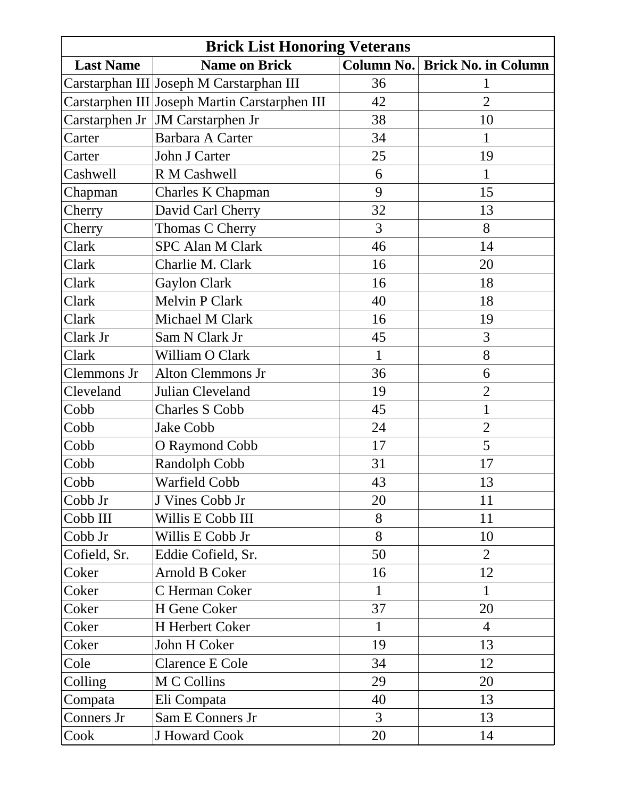| <b>Brick List Honoring Veterans</b> |                                               |                |                            |
|-------------------------------------|-----------------------------------------------|----------------|----------------------------|
| <b>Last Name</b>                    | <b>Name on Brick</b>                          | Column No.     | <b>Brick No. in Column</b> |
|                                     | Carstarphan III Joseph M Carstarphan III      | 36             | 1                          |
|                                     | Carstarphen III Joseph Martin Carstarphen III | 42             | $\overline{2}$             |
|                                     | Carstarphen Jr   JM Carstarphen Jr            | 38             | 10                         |
| Carter                              | Barbara A Carter                              | 34             | 1                          |
| Carter                              | John J Carter                                 | 25             | 19                         |
| Cashwell                            | R M Cashwell                                  | 6              | 1                          |
| Chapman                             | Charles K Chapman                             | 9              | 15                         |
| Cherry                              | David Carl Cherry                             | 32             | 13                         |
| Cherry                              | Thomas C Cherry                               | 3              | 8                          |
| Clark                               | <b>SPC Alan M Clark</b>                       | 46             | 14                         |
| Clark                               | Charlie M. Clark                              | 16             | 20                         |
| Clark                               | <b>Gaylon Clark</b>                           | 16             | 18                         |
| Clark                               | <b>Melvin P Clark</b>                         | 40             | 18                         |
| Clark                               | Michael M Clark                               | 16             | 19                         |
| Clark Jr                            | Sam N Clark Jr                                | 45             | 3                          |
| Clark                               | William O Clark                               | 1              | 8                          |
| Clemmons Jr                         | <b>Alton Clemmons Jr</b>                      | 36             | 6                          |
| Cleveland                           | Julian Cleveland                              | 19             | $\overline{2}$             |
| Cobb                                | <b>Charles S Cobb</b>                         | 45             | $\mathbf{1}$               |
| Cobb                                | Jake Cobb                                     | 24             | $\overline{2}$             |
| Cobb                                | O Raymond Cobb                                | 17             | 5                          |
| Cobb                                | Randolph Cobb                                 | 31             | 17                         |
| Cobb                                | Warfield Cobb                                 | 43             | 13                         |
| Cobb Jr                             | J Vines Cobb Jr                               | 20             | 11                         |
| Cobb III                            | Willis E Cobb III                             | 8              | 11                         |
| Cobb Jr                             | Willis E Cobb Jr                              | 8              | 10                         |
| Cofield, Sr.                        | Eddie Cofield, Sr.                            | 50             | $\overline{2}$             |
| Coker                               | Arnold B Coker                                | 16             | 12                         |
| Coker                               | C Herman Coker                                | $\mathbf{1}$   | $\mathbf{1}$               |
| Coker                               | H Gene Coker                                  | 37             | 20                         |
| Coker                               | H Herbert Coker                               | $\mathbf{1}$   | $\overline{4}$             |
| Coker                               | John H Coker                                  | 19             | 13                         |
| Cole                                | <b>Clarence E Cole</b>                        | 34             | 12                         |
| Colling                             | M C Collins                                   | 29             | 20                         |
| Compata                             | Eli Compata                                   | 40             | 13                         |
| Conners Jr                          | Sam E Conners Jr                              | $\overline{3}$ | 13                         |
| Cook                                | J Howard Cook                                 | 20             | 14                         |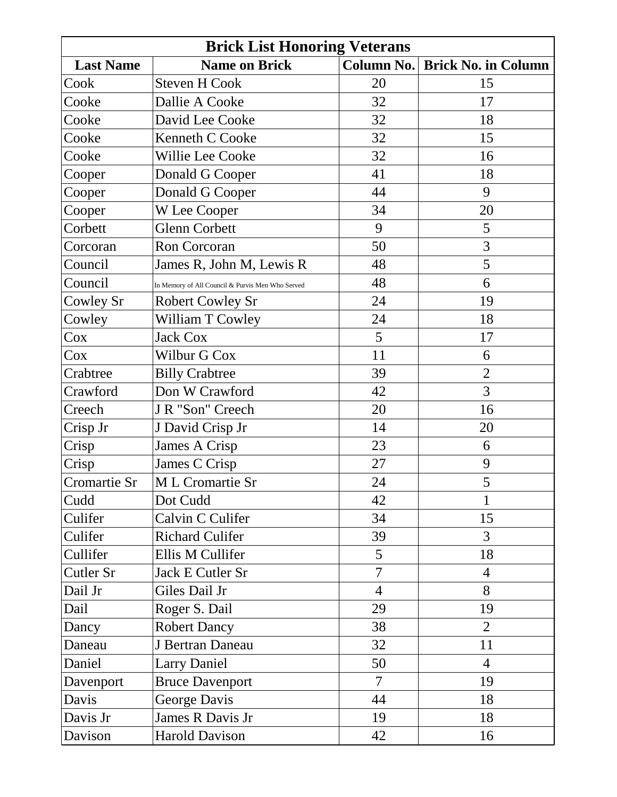| <b>Brick List Honoring Veterans</b> |                                                  |                   |                            |
|-------------------------------------|--------------------------------------------------|-------------------|----------------------------|
| <b>Last Name</b>                    | <b>Name on Brick</b>                             | <b>Column No.</b> | <b>Brick No. in Column</b> |
| Cook                                | <b>Steven H Cook</b>                             | 20                | 15                         |
| Cooke                               | Dallie A Cooke                                   | 32                | 17                         |
| Cooke                               | David Lee Cooke                                  | 32                | 18                         |
| Cooke                               | Kenneth C Cooke                                  | 32                | 15                         |
| Cooke                               | Willie Lee Cooke                                 | 32                | 16                         |
| Cooper                              | Donald G Cooper                                  | 41                | 18                         |
| Cooper                              | Donald G Cooper                                  | 44                | 9                          |
| Cooper                              | W Lee Cooper                                     | 34                | 20                         |
| Corbett                             | <b>Glenn Corbett</b>                             | 9                 | 5                          |
| Corcoran                            | <b>Ron Corcoran</b>                              | 50                | 3                          |
| Council                             | James R, John M, Lewis R                         | 48                | 5                          |
| Council                             | In Memory of All Council & Purvis Men Who Served | 48                | 6                          |
| Cowley Sr                           | <b>Robert Cowley Sr</b>                          | 24                | 19                         |
| Cowley                              | William T Cowley                                 | 24                | 18                         |
| Cox                                 | <b>Jack Cox</b>                                  | 5                 | 17                         |
| $\cos$                              | Wilbur G Cox                                     | 11                | 6                          |
| Crabtree                            | <b>Billy Crabtree</b>                            | 39                | $\overline{2}$             |
| Crawford                            | Don W Crawford                                   | 42                | 3                          |
| Creech                              | J R "Son" Creech                                 | 20                | 16                         |
| Crisp Jr                            | J David Crisp Jr                                 | 14                | 20                         |
| Crisp                               | James A Crisp                                    | 23                | 6                          |
| Crisp                               | James C Crisp                                    | 27                | 9                          |
| Cromartie Sr                        | M L Cromartie Sr                                 | 24                | 5                          |
| Cudd                                | Dot Cudd                                         | 42                | 1                          |
| Culifer                             | Calvin C Culifer                                 | 34                | 15                         |
| Culifer                             | <b>Richard Culifer</b>                           | 39                | 3                          |
| Cullifer                            | Ellis M Cullifer                                 | 5                 | 18                         |
| Cutler Sr                           | Jack E Cutler Sr                                 | $\overline{7}$    | $\overline{4}$             |
| Dail Jr                             | Giles Dail Jr                                    | $\overline{4}$    | 8                          |
| Dail                                | Roger S. Dail                                    | 29                | 19                         |
| Dancy                               | <b>Robert Dancy</b>                              | 38                | $\overline{2}$             |
| Daneau                              | J Bertran Daneau                                 | 32                | 11                         |
| Daniel                              | <b>Larry Daniel</b>                              | 50                | $\overline{4}$             |
| Davenport                           | <b>Bruce Davenport</b>                           | $\overline{7}$    | 19                         |
| Davis                               | George Davis                                     | 44                | 18                         |
| Davis Jr                            | James R Davis Jr                                 | 19                | 18                         |
| Davison                             | <b>Harold Davison</b>                            | 42                | 16                         |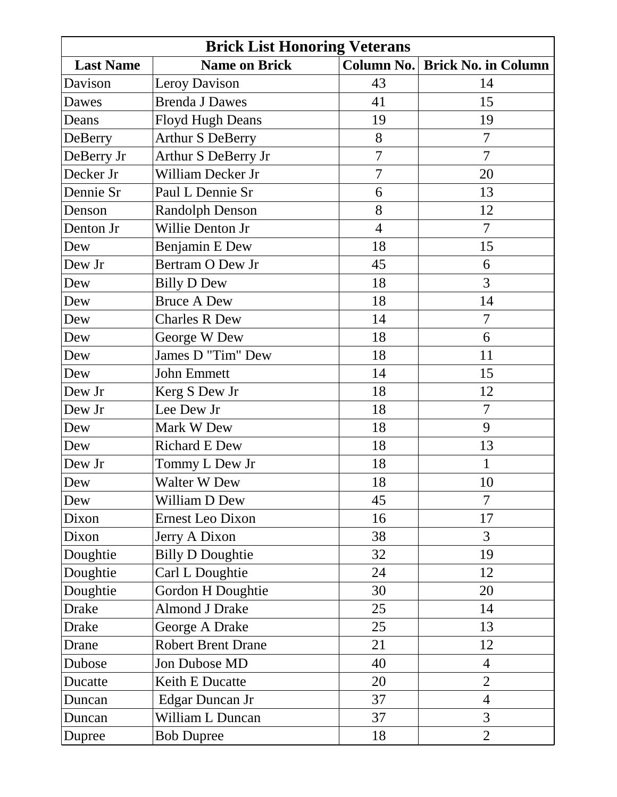| <b>Brick List Honoring Veterans</b> |                           |                |                            |
|-------------------------------------|---------------------------|----------------|----------------------------|
| <b>Last Name</b>                    | <b>Name on Brick</b>      | Column No.     | <b>Brick No. in Column</b> |
| Davison                             | Leroy Davison             | 43             | 14                         |
| Dawes                               | <b>Brenda J Dawes</b>     | 41             | 15                         |
| Deans                               | <b>Floyd Hugh Deans</b>   | 19             | 19                         |
| DeBerry                             | <b>Arthur S DeBerry</b>   | 8              | $\overline{7}$             |
| DeBerry Jr                          | Arthur S DeBerry Jr       | $\overline{7}$ | $\overline{7}$             |
| Decker Jr                           | William Decker Jr         | 7              | 20                         |
| Dennie Sr                           | Paul L Dennie Sr          | 6              | 13                         |
| Denson                              | <b>Randolph Denson</b>    | 8              | 12                         |
| Denton Jr                           | Willie Denton Jr          | $\overline{4}$ | $\overline{7}$             |
| Dew                                 | Benjamin E Dew            | 18             | 15                         |
| Dew Jr                              | Bertram O Dew Jr          | 45             | 6                          |
| Dew                                 | <b>Billy D Dew</b>        | 18             | 3                          |
| Dew                                 | <b>Bruce A Dew</b>        | 18             | 14                         |
| Dew                                 | <b>Charles R Dew</b>      | 14             | $\overline{7}$             |
| Dew                                 | George W Dew              | 18             | 6                          |
| Dew                                 | James D "Tim" Dew         | 18             | 11                         |
| Dew                                 | John Emmett               | 14             | 15                         |
| Dew Jr                              | Kerg S Dew Jr             | 18             | 12                         |
| Dew Jr                              | Lee Dew Jr                | 18             | $\overline{7}$             |
| Dew                                 | Mark W Dew                | 18             | 9                          |
| Dew                                 | <b>Richard E Dew</b>      | 18             | 13                         |
| Dew Jr                              | Tommy L Dew Jr            | 18             | $\mathbf{1}$               |
| Dew                                 | <b>Walter W Dew</b>       | 18             | 10                         |
| Dew                                 | William D Dew             | 45             | $\overline{7}$             |
| Dixon                               | Ernest Leo Dixon          | 16             | 17                         |
| Dixon                               | Jerry A Dixon             | 38             | 3                          |
| Doughtie                            | <b>Billy D Doughtie</b>   | 32             | 19                         |
| Doughtie                            | Carl L Doughtie           | 24             | 12                         |
| Doughtie                            | Gordon H Doughtie         | 30             | 20                         |
| <b>Drake</b>                        | <b>Almond J Drake</b>     | 25             | 14                         |
| <b>Drake</b>                        | George A Drake            | 25             | 13                         |
| Drane                               | <b>Robert Brent Drane</b> | 21             | 12                         |
| Dubose                              | Jon Dubose MD             | 40             | $\overline{4}$             |
| Ducatte                             | Keith E Ducatte           | 20             | $\overline{2}$             |
| Duncan                              | Edgar Duncan Jr           | 37             | $\overline{4}$             |
| Duncan                              | William L Duncan          | 37             | 3                          |
| Dupree                              | <b>Bob Dupree</b>         | 18             | $\overline{2}$             |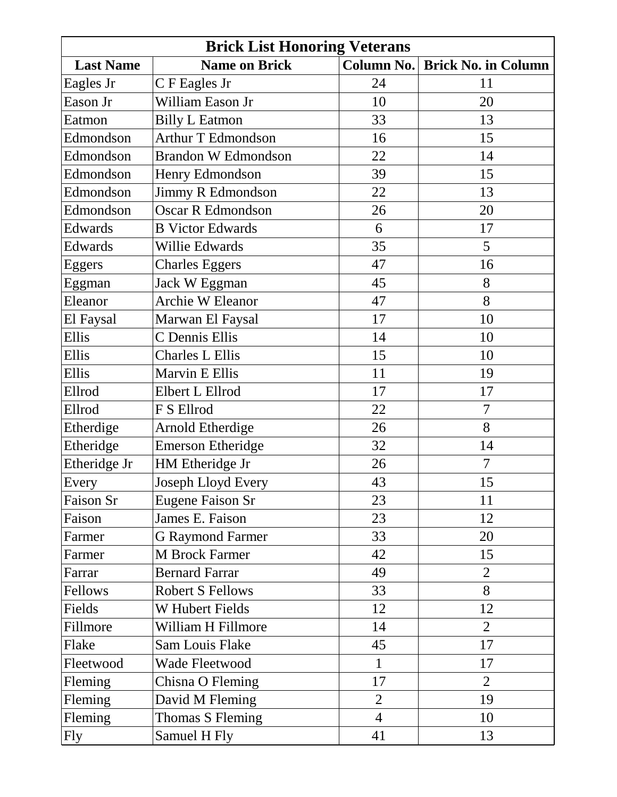| <b>Brick List Honoring Veterans</b> |                            |                |                            |
|-------------------------------------|----------------------------|----------------|----------------------------|
| <b>Last Name</b>                    | <b>Name on Brick</b>       | Column No.     | <b>Brick No. in Column</b> |
| Eagles Jr                           | C F Eagles Jr              | 24             | 11                         |
| Eason Jr                            | William Eason Jr           | 10             | 20                         |
| Eatmon                              | <b>Billy L Eatmon</b>      | 33             | 13                         |
| Edmondson                           | <b>Arthur T Edmondson</b>  | 16             | 15                         |
| Edmondson                           | <b>Brandon W Edmondson</b> | 22             | 14                         |
| Edmondson                           | Henry Edmondson            | 39             | 15                         |
| Edmondson                           | Jimmy R Edmondson          | 22             | 13                         |
| Edmondson                           | <b>Oscar R Edmondson</b>   | 26             | 20                         |
| Edwards                             | <b>B</b> Victor Edwards    | 6              | 17                         |
| Edwards                             | Willie Edwards             | 35             | 5                          |
| Eggers                              | <b>Charles Eggers</b>      | 47             | 16                         |
| Eggman                              | Jack W Eggman              | 45             | 8                          |
| Eleanor                             | Archie W Eleanor           | 47             | 8                          |
| El Faysal                           | Marwan El Faysal           | 17             | 10                         |
| Ellis                               | C Dennis Ellis             | 14             | 10                         |
| Ellis                               | <b>Charles L Ellis</b>     | 15             | 10                         |
| Ellis                               | Marvin E Ellis             | 11             | 19                         |
| Ellrod                              | Elbert L Ellrod            | 17             | 17                         |
| Ellrod                              | F S Ellrod                 | 22             | $\overline{7}$             |
| Etherdige                           | Arnold Etherdige           | 26             | 8                          |
| Etheridge                           | <b>Emerson Etheridge</b>   | 32             | 14                         |
| Etheridge Jr                        | HM Etheridge Jr            | 26             | $\overline{7}$             |
| Every                               | Joseph Lloyd Every         | 43             | 15                         |
| Faison Sr                           | Eugene Faison Sr           | 23             | 11                         |
| Faison                              | James E. Faison            | 23             | 12                         |
| Farmer                              | <b>G Raymond Farmer</b>    | 33             | 20                         |
| Farmer                              | M Brock Farmer             | 42             | 15                         |
| Farrar                              | <b>Bernard Farrar</b>      | 49             | $\overline{2}$             |
| Fellows                             | <b>Robert S Fellows</b>    | 33             | 8                          |
| Fields                              | <b>W</b> Hubert Fields     | 12             | 12                         |
| Fillmore                            | William H Fillmore         | 14             | $\overline{2}$             |
| Flake                               | Sam Louis Flake            | 45             | 17                         |
| Fleetwood                           | Wade Fleetwood             | $\mathbf{1}$   | 17                         |
| Fleming                             | Chisna O Fleming           | 17             | $\overline{2}$             |
| Fleming                             | David M Fleming            | $\overline{2}$ | 19                         |
| Fleming                             | Thomas S Fleming           | $\overline{4}$ | 10                         |
| Fly                                 | Samuel H Fly               | 41             | 13                         |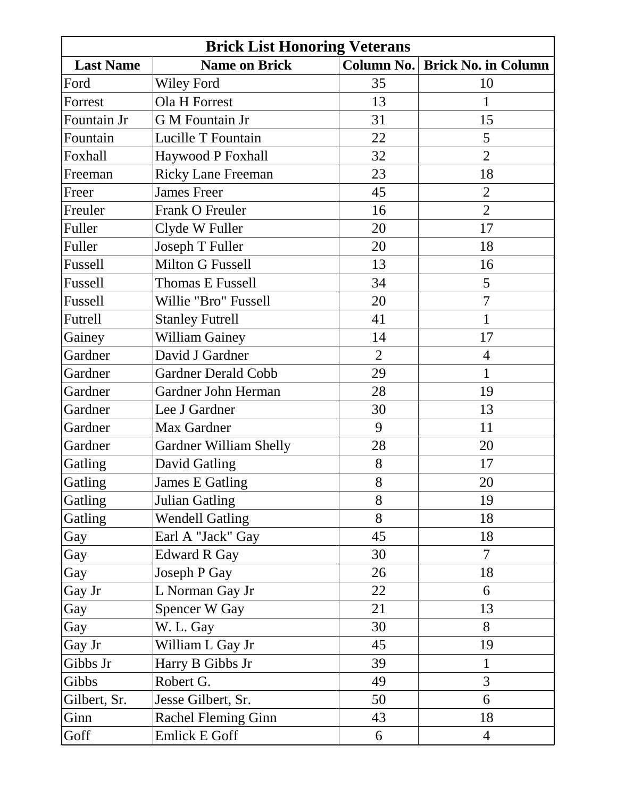| <b>Brick List Honoring Veterans</b> |                               |                   |                            |
|-------------------------------------|-------------------------------|-------------------|----------------------------|
| <b>Last Name</b>                    | <b>Name on Brick</b>          | <b>Column No.</b> | <b>Brick No. in Column</b> |
| Ford                                | <b>Wiley Ford</b>             | 35                | 10                         |
| Forrest                             | Ola H Forrest                 | 13                | $\mathbf{1}$               |
| Fountain Jr                         | G M Fountain Jr               | 31                | 15                         |
| Fountain                            | Lucille T Fountain            | 22                | 5                          |
| Foxhall                             | Haywood P Foxhall             | 32                | $\overline{2}$             |
| Freeman                             | <b>Ricky Lane Freeman</b>     | 23                | 18                         |
| Freer                               | <b>James Freer</b>            | 45                | $\sqrt{2}$                 |
| Freuler                             | Frank O Freuler               | 16                | $\overline{2}$             |
| Fuller                              | Clyde W Fuller                | 20                | 17                         |
| Fuller                              | Joseph T Fuller               | 20                | 18                         |
| Fussell                             | Milton G Fussell              | 13                | 16                         |
| Fussell                             | <b>Thomas E Fussell</b>       | 34                | 5                          |
| Fussell                             | Willie "Bro" Fussell          | 20                | $\overline{7}$             |
| Futrell                             | <b>Stanley Futrell</b>        | 41                | $\mathbf{1}$               |
| Gainey                              | <b>William Gainey</b>         | 14                | 17                         |
| Gardner                             | David J Gardner               | $\overline{2}$    | $\overline{4}$             |
| Gardner                             | <b>Gardner Derald Cobb</b>    | 29                | $\mathbf{1}$               |
| Gardner                             | Gardner John Herman           | 28                | 19                         |
| Gardner                             | Lee J Gardner                 | 30                | 13                         |
| Gardner                             | Max Gardner                   | 9                 | 11                         |
| Gardner                             | <b>Gardner William Shelly</b> | 28                | 20                         |
| Gatling                             | <b>David Gatling</b>          | 8                 | 17                         |
| Gatling                             | James E Gatling               | 8                 | 20                         |
| Gatling                             | Julian Gatling                | 8                 | 19                         |
| Gatling                             | <b>Wendell Gatling</b>        | 8                 | 18                         |
| Gay                                 | Earl A "Jack" Gay             | 45                | 18                         |
| Gay                                 | <b>Edward R Gay</b>           | 30                | $\overline{7}$             |
| Gay                                 | Joseph P Gay                  | 26                | 18                         |
| Gay Jr                              | L Norman Gay Jr               | 22                | 6                          |
| Gay                                 | Spencer W Gay                 | 21                | 13                         |
| Gay                                 | W. L. Gay                     | 30                | 8                          |
| Gay Jr                              | William L Gay Jr              | 45                | 19                         |
| Gibbs Jr                            | Harry B Gibbs Jr              | 39                | $\mathbf{1}$               |
| Gibbs                               | Robert G.                     | 49                | 3                          |
| Gilbert, Sr.                        | Jesse Gilbert, Sr.            | 50                | 6                          |
| Ginn                                | <b>Rachel Fleming Ginn</b>    | 43                | 18                         |
| Goff                                | <b>Emlick E Goff</b>          | 6                 | $\overline{4}$             |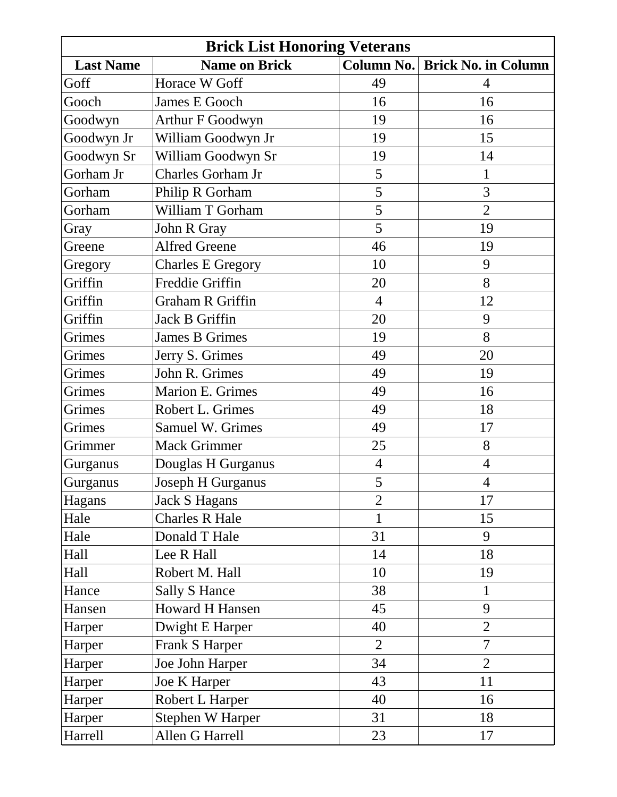| <b>Brick List Honoring Veterans</b> |                          |                |                            |
|-------------------------------------|--------------------------|----------------|----------------------------|
| <b>Last Name</b>                    | <b>Name on Brick</b>     | Column No.     | <b>Brick No. in Column</b> |
| Goff                                | Horace W Goff            | 49             | $\overline{4}$             |
| Gooch                               | <b>James E Gooch</b>     | 16             | 16                         |
| Goodwyn                             | Arthur F Goodwyn         | 19             | 16                         |
| Goodwyn Jr                          | William Goodwyn Jr       | 19             | 15                         |
| Goodwyn Sr                          | William Goodwyn Sr       | 19             | 14                         |
| Gorham Jr                           | Charles Gorham Jr        | 5              | $\mathbf{1}$               |
| Gorham                              | Philip R Gorham          | 5              | 3                          |
| Gorham                              | William T Gorham         | 5              | $\overline{2}$             |
| Gray                                | John R Gray              | 5              | 19                         |
| Greene                              | <b>Alfred Greene</b>     | 46             | 19                         |
| Gregory                             | <b>Charles E Gregory</b> | 10             | 9                          |
| Griffin                             | Freddie Griffin          | 20             | 8                          |
| Griffin                             | Graham R Griffin         | $\overline{4}$ | 12                         |
| Griffin                             | Jack B Griffin           | 20             | 9                          |
| Grimes                              | James B Grimes           | 19             | 8                          |
| Grimes                              | Jerry S. Grimes          | 49             | 20                         |
| Grimes                              | John R. Grimes           | 49             | 19                         |
| Grimes                              | Marion E. Grimes         | 49             | 16                         |
| Grimes                              | Robert L. Grimes         | 49             | 18                         |
| Grimes                              | Samuel W. Grimes         | 49             | 17                         |
| Grimmer                             | <b>Mack Grimmer</b>      | 25             | 8                          |
| Gurganus                            | Douglas H Gurganus       | $\overline{4}$ | $\overline{4}$             |
| Gurganus                            | Joseph H Gurganus        | 5              | $\overline{4}$             |
| Hagans                              | <b>Jack S Hagans</b>     | $\overline{2}$ | 17                         |
| Hale                                | <b>Charles R Hale</b>    | $\mathbf{1}$   | 15                         |
| Hale                                | Donald T Hale            | 31             | 9                          |
| Hall                                | Lee R Hall               | 14             | 18                         |
| Hall                                | Robert M. Hall           | 10             | 19                         |
| Hance                               | <b>Sally S Hance</b>     | 38             | $\mathbf{1}$               |
| Hansen                              | <b>Howard H Hansen</b>   | 45             | 9                          |
| Harper                              | Dwight E Harper          | 40             | $\overline{2}$             |
| Harper                              | Frank S Harper           | $\overline{2}$ | $\overline{7}$             |
| Harper                              | Joe John Harper          | 34             | $\overline{2}$             |
| Harper                              | Joe K Harper             | 43             | 11                         |
| Harper                              | Robert L Harper          | 40             | 16                         |
| Harper                              | <b>Stephen W Harper</b>  | 31             | 18                         |
| Harrell                             | Allen G Harrell          | 23             | 17                         |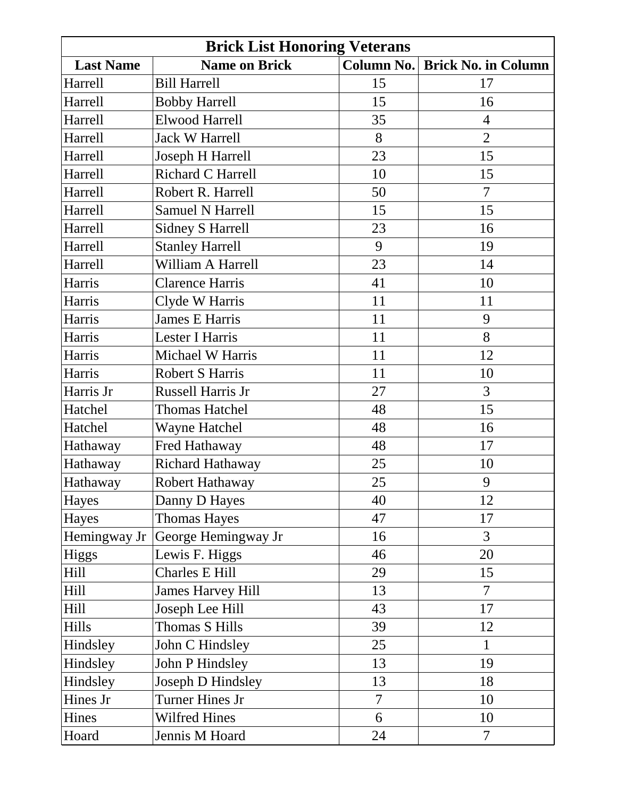| <b>Brick List Honoring Veterans</b> |                          |                |                            |
|-------------------------------------|--------------------------|----------------|----------------------------|
| <b>Last Name</b>                    | <b>Name on Brick</b>     | Column No.     | <b>Brick No. in Column</b> |
| Harrell                             | <b>Bill Harrell</b>      | 15             | 17                         |
| Harrell                             | <b>Bobby Harrell</b>     | 15             | 16                         |
| Harrell                             | <b>Elwood Harrell</b>    | 35             | $\overline{4}$             |
| Harrell                             | <b>Jack W Harrell</b>    | 8              | $\overline{2}$             |
| Harrell                             | Joseph H Harrell         | 23             | 15                         |
| Harrell                             | Richard C Harrell        | 10             | 15                         |
| Harrell                             | Robert R. Harrell        | 50             | $\overline{7}$             |
| Harrell                             | <b>Samuel N Harrell</b>  | 15             | 15                         |
| Harrell                             | <b>Sidney S Harrell</b>  | 23             | 16                         |
| Harrell                             | <b>Stanley Harrell</b>   | 9              | 19                         |
| Harrell                             | William A Harrell        | 23             | 14                         |
| Harris                              | <b>Clarence Harris</b>   | 41             | 10                         |
| Harris                              | Clyde W Harris           | 11             | 11                         |
| Harris                              | <b>James E Harris</b>    | 11             | 9                          |
| Harris                              | Lester I Harris          | 11             | 8                          |
| Harris                              | Michael W Harris         | 11             | 12                         |
| Harris                              | <b>Robert S Harris</b>   | 11             | 10                         |
| Harris Jr                           | Russell Harris Jr        | 27             | $\overline{3}$             |
| Hatchel                             | <b>Thomas Hatchel</b>    | 48             | 15                         |
| Hatchel                             | <b>Wayne Hatchel</b>     | 48             | 16                         |
| Hathaway                            | Fred Hathaway            | 48             | 17                         |
| Hathaway                            | Richard Hathaway         | 25             | 10                         |
| Hathaway                            | Robert Hathaway          | 25             | 9                          |
| Hayes                               | Danny D Hayes            | 40             | 12                         |
| Hayes                               | <b>Thomas Hayes</b>      | 47             | 17                         |
| Hemingway Jr                        | George Hemingway Jr      | 16             | $\overline{3}$             |
| <b>Higgs</b>                        | Lewis F. Higgs           | 46             | 20                         |
| Hill                                | <b>Charles E Hill</b>    | 29             | 15                         |
| Hill                                | <b>James Harvey Hill</b> | 13             | $\overline{7}$             |
| Hill                                | Joseph Lee Hill          | 43             | 17                         |
| Hills                               | Thomas S Hills           | 39             | 12                         |
| Hindsley                            | John C Hindsley          | 25             | $\mathbf{1}$               |
| Hindsley                            | John P Hindsley          | 13             | 19                         |
| Hindsley                            | Joseph D Hindsley        | 13             | 18                         |
| Hines Jr                            | Turner Hines Jr          | $\overline{7}$ | 10                         |
| Hines                               | Wilfred Hines            | 6              | 10                         |
| Hoard                               | Jennis M Hoard           | 24             | $\overline{7}$             |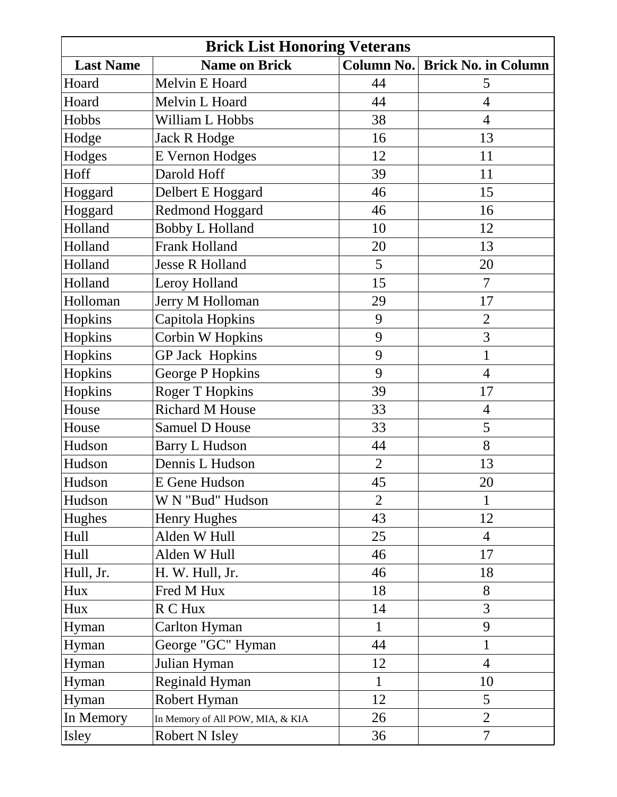| <b>Brick List Honoring Veterans</b> |                                  |                |                            |
|-------------------------------------|----------------------------------|----------------|----------------------------|
| <b>Last Name</b>                    | <b>Name on Brick</b>             | Column No.     | <b>Brick No. in Column</b> |
| Hoard                               | Melvin E Hoard                   | 44             | 5                          |
| Hoard                               | Melvin L Hoard                   | 44             | $\overline{4}$             |
| Hobbs                               | William L Hobbs                  | 38             | $\overline{4}$             |
| Hodge                               | Jack R Hodge                     | 16             | 13                         |
| Hodges                              | <b>E</b> Vernon Hodges           | 12             | 11                         |
| Hoff                                | Darold Hoff                      | 39             | 11                         |
| Hoggard                             | Delbert E Hoggard                | 46             | 15                         |
| Hoggard                             | <b>Redmond Hoggard</b>           | 46             | 16                         |
| Holland                             | <b>Bobby L Holland</b>           | 10             | 12                         |
| Holland                             | <b>Frank Holland</b>             | 20             | 13                         |
| Holland                             | <b>Jesse R Holland</b>           | 5              | 20                         |
| Holland                             | Leroy Holland                    | 15             | $\overline{7}$             |
| Holloman                            | Jerry M Holloman                 | 29             | 17                         |
| Hopkins                             | Capitola Hopkins                 | 9              | $\overline{2}$             |
| Hopkins                             | Corbin W Hopkins                 | 9              | 3                          |
| Hopkins                             | <b>GP Jack Hopkins</b>           | 9              | $\mathbf{1}$               |
| Hopkins                             | George P Hopkins                 | 9              | $\overline{4}$             |
| Hopkins                             | <b>Roger T Hopkins</b>           | 39             | 17                         |
| House                               | Richard M House                  | 33             | $\overline{4}$             |
| House                               | Samuel D House                   | 33             | 5                          |
| Hudson                              | <b>Barry L Hudson</b>            | 44             | 8                          |
| Hudson                              | Dennis L Hudson                  | $\overline{2}$ | 13                         |
| Hudson                              | E Gene Hudson                    | 45             | 20                         |
| Hudson                              | W N "Bud" Hudson                 | $\overline{2}$ | 1                          |
| Hughes                              | <b>Henry Hughes</b>              | 43             | 12                         |
| Hull                                | Alden W Hull                     | 25             | $\overline{4}$             |
| Hull                                | Alden W Hull                     | 46             | 17                         |
| Hull, Jr.                           | H. W. Hull, Jr.                  | 46             | 18                         |
| Hux                                 | Fred M Hux                       | 18             | 8                          |
| Hux                                 | R C Hux                          | 14             | 3                          |
| Hyman                               | Carlton Hyman                    | $\mathbf{1}$   | 9                          |
| Hyman                               | George "GC" Hyman                | 44             | $\mathbf{1}$               |
| Hyman                               | Julian Hyman                     | 12             | $\overline{4}$             |
| Hyman                               | <b>Reginald Hyman</b>            | 1              | 10                         |
| Hyman                               | Robert Hyman                     | 12             | 5                          |
| In Memory                           | In Memory of All POW, MIA, & KIA | 26             | $\overline{2}$             |
| Isley                               | <b>Robert N Isley</b>            | 36             | $\overline{7}$             |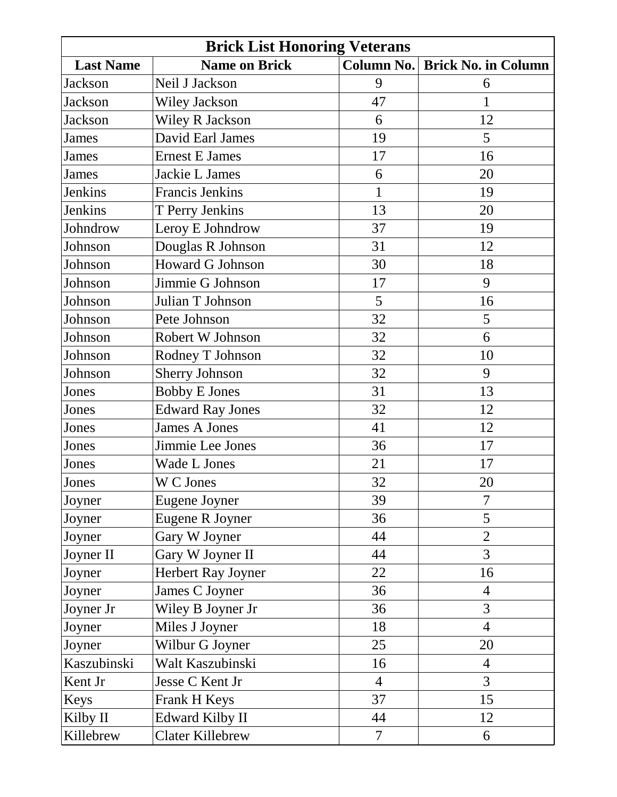| <b>Brick List Honoring Veterans</b> |                         |                |                            |
|-------------------------------------|-------------------------|----------------|----------------------------|
| <b>Last Name</b>                    | <b>Name on Brick</b>    | Column No.     | <b>Brick No. in Column</b> |
| <b>Jackson</b>                      | Neil J Jackson          | 9              | 6                          |
| Jackson                             | <b>Wiley Jackson</b>    | 47             | $\mathbf{1}$               |
| Jackson                             | <b>Wiley R Jackson</b>  | 6              | 12                         |
| James                               | David Earl James        | 19             | 5                          |
| <b>James</b>                        | <b>Ernest E James</b>   | 17             | 16                         |
| James                               | Jackie L James          | 6              | 20                         |
| <b>Jenkins</b>                      | <b>Francis Jenkins</b>  | $\mathbf{1}$   | 19                         |
| <b>Jenkins</b>                      | T Perry Jenkins         | 13             | 20                         |
| Johndrow                            | Leroy E Johndrow        | 37             | 19                         |
| Johnson                             | Douglas R Johnson       | 31             | 12                         |
| Johnson                             | Howard G Johnson        | 30             | 18                         |
| Johnson                             | Jimmie G Johnson        | 17             | 9                          |
| Johnson                             | Julian T Johnson        | 5              | 16                         |
| Johnson                             | Pete Johnson            | 32             | 5                          |
| Johnson                             | Robert W Johnson        | 32             | 6                          |
| Johnson                             | Rodney T Johnson        | 32             | 10                         |
| Johnson                             | Sherry Johnson          | 32             | 9                          |
| Jones                               | <b>Bobby E Jones</b>    | 31             | 13                         |
| Jones                               | <b>Edward Ray Jones</b> | 32             | 12                         |
| Jones                               | <b>James A Jones</b>    | 41             | 12                         |
| Jones                               | Jimmie Lee Jones        | 36             | 17                         |
| Jones                               | Wade L Jones            | 21             | 17                         |
| Jones                               | W C Jones               | 32             | 20                         |
| Joyner                              | Eugene Joyner           | 39             | 7                          |
| Joyner                              | Eugene R Joyner         | 36             | 5                          |
| Joyner                              | Gary W Joyner           | 44             | $\overline{2}$             |
| Joyner II                           | Gary W Joyner II        | 44             | 3                          |
| Joyner                              | Herbert Ray Joyner      | 22             | 16                         |
| Joyner                              | James C Joyner          | 36             | $\overline{4}$             |
| Joyner Jr                           | Wiley B Joyner Jr       | 36             | 3                          |
| Joyner                              | Miles J Joyner          | 18             | $\overline{4}$             |
| Joyner                              | Wilbur G Joyner         | 25             | 20                         |
| Kaszubinski                         | Walt Kaszubinski        | 16             | $\overline{4}$             |
| Kent Jr                             | Jesse C Kent Jr         | $\overline{4}$ | 3                          |
| Keys                                | Frank H Keys            | 37             | 15                         |
| Kilby II                            | <b>Edward Kilby II</b>  | 44             | 12                         |
| Killebrew                           | <b>Clater Killebrew</b> | $\overline{7}$ | 6                          |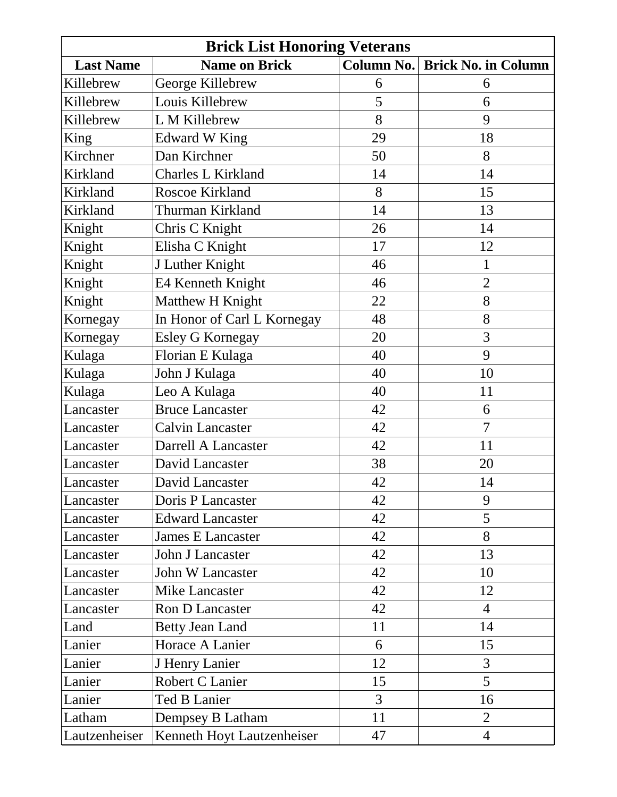| <b>Brick List Honoring Veterans</b> |                             |                   |                            |
|-------------------------------------|-----------------------------|-------------------|----------------------------|
| <b>Last Name</b>                    | <b>Name on Brick</b>        | <b>Column No.</b> | <b>Brick No. in Column</b> |
| Killebrew                           | George Killebrew            | 6                 | 6                          |
| Killebrew                           | Louis Killebrew             | 5                 | 6                          |
| Killebrew                           | L M Killebrew               | 8                 | 9                          |
| King                                | <b>Edward W King</b>        | 29                | 18                         |
| Kirchner                            | Dan Kirchner                | 50                | 8                          |
| Kirkland                            | Charles L Kirkland          | 14                | 14                         |
| Kirkland                            | Roscoe Kirkland             | 8                 | 15                         |
| Kirkland                            | Thurman Kirkland            | 14                | 13                         |
| Knight                              | Chris C Knight              | 26                | 14                         |
| Knight                              | Elisha C Knight             | 17                | 12                         |
| Knight                              | J Luther Knight             | 46                | $\mathbf{1}$               |
| Knight                              | E4 Kenneth Knight           | 46                | $\overline{2}$             |
| Knight                              | Matthew H Knight            | 22                | 8                          |
| Kornegay                            | In Honor of Carl L Kornegay | 48                | 8                          |
| Kornegay                            | <b>Esley G Kornegay</b>     | 20                | 3                          |
| Kulaga                              | Florian E Kulaga            | 40                | 9                          |
| Kulaga                              | John J Kulaga               | 40                | 10                         |
| Kulaga                              | Leo A Kulaga                | 40                | 11                         |
| Lancaster                           | <b>Bruce Lancaster</b>      | 42                | 6                          |
| Lancaster                           | <b>Calvin Lancaster</b>     | 42                | $\overline{7}$             |
| Lancaster                           | Darrell A Lancaster         | 42                | 11                         |
| Lancaster                           | David Lancaster             | 38                | 20                         |
| Lancaster                           | David Lancaster             | 42                | 14                         |
| Lancaster                           | Doris P Lancaster           | 42                | 9                          |
| Lancaster                           | <b>Edward Lancaster</b>     | 42                | 5                          |
| Lancaster                           | <b>James E Lancaster</b>    | 42                | 8                          |
| Lancaster                           | John J Lancaster            | 42                | 13                         |
| Lancaster                           | John W Lancaster            | 42                | 10                         |
| Lancaster                           | <b>Mike Lancaster</b>       | 42                | 12                         |
| Lancaster                           | <b>Ron D Lancaster</b>      | 42                | $\overline{4}$             |
| Land                                | <b>Betty Jean Land</b>      | 11                | 14                         |
| Lanier                              | Horace A Lanier             | 6                 | 15                         |
| Lanier                              | J Henry Lanier              | 12                | 3                          |
| Lanier                              | Robert C Lanier             | 15                | 5                          |
| Lanier                              | <b>Ted B Lanier</b>         | $\overline{3}$    | 16                         |
| Latham                              | Dempsey B Latham            | 11                | $\overline{2}$             |
| Lautzenheiser                       | Kenneth Hoyt Lautzenheiser  | 47                | $\overline{4}$             |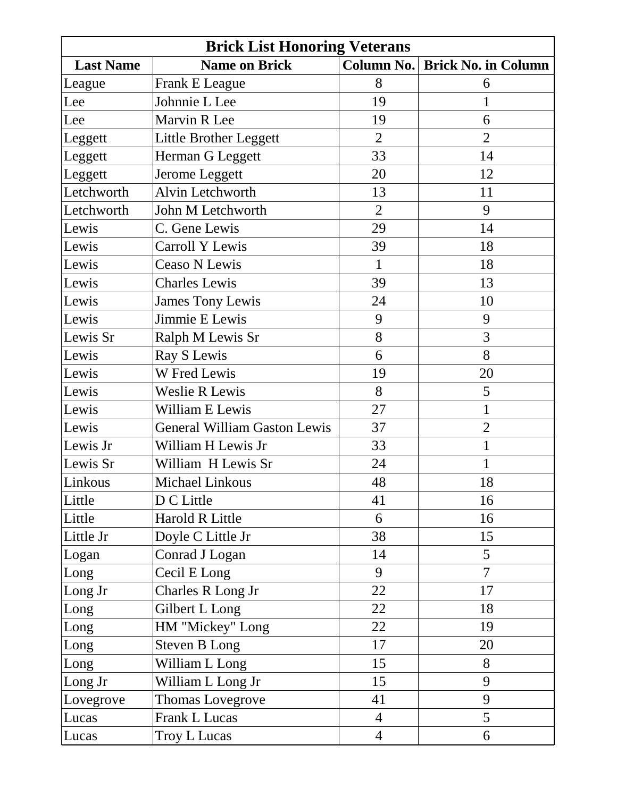| <b>Brick List Honoring Veterans</b> |                                     |                |                            |
|-------------------------------------|-------------------------------------|----------------|----------------------------|
| <b>Last Name</b>                    | <b>Name on Brick</b>                | Column No.     | <b>Brick No. in Column</b> |
| League                              | Frank E League                      | 8              | 6                          |
| Lee                                 | Johnnie L Lee                       | 19             | 1                          |
| Lee                                 | Marvin R Lee                        | 19             | 6                          |
| Leggett                             | Little Brother Leggett              | $\overline{2}$ | $\overline{2}$             |
| Leggett                             | Herman G Leggett                    | 33             | 14                         |
| Leggett                             | Jerome Leggett                      | 20             | 12                         |
| Letchworth                          | Alvin Letchworth                    | 13             | 11                         |
| Letchworth                          | John M Letchworth                   | $\overline{2}$ | 9                          |
| Lewis                               | C. Gene Lewis                       | 29             | 14                         |
| Lewis                               | Carroll Y Lewis                     | 39             | 18                         |
| Lewis                               | Ceaso N Lewis                       | $\mathbf{1}$   | 18                         |
| Lewis                               | <b>Charles Lewis</b>                | 39             | 13                         |
| Lewis                               | <b>James Tony Lewis</b>             | 24             | 10                         |
| Lewis                               | Jimmie E Lewis                      | 9              | 9                          |
| Lewis Sr                            | Ralph M Lewis Sr                    | 8              | 3                          |
| Lewis                               | Ray S Lewis                         | 6              | 8                          |
| Lewis                               | W Fred Lewis                        | 19             | 20                         |
| Lewis                               | Weslie R Lewis                      | 8              | 5                          |
| Lewis                               | William E Lewis                     | 27             | $\mathbf{1}$               |
| Lewis                               | <b>General William Gaston Lewis</b> | 37             | $\overline{2}$             |
| Lewis Jr                            | William H Lewis Jr                  | 33             | $\mathbf{1}$               |
| Lewis Sr                            | William H Lewis Sr                  | 24             | 1                          |
| Linkous                             | Michael Linkous                     | 48             | 18                         |
| Little                              | D C Little                          | 41             | 16                         |
| Little                              | Harold R Little                     | 6              | 16                         |
| Little Jr                           | Doyle C Little Jr                   | 38             | 15                         |
| Logan                               | Conrad J Logan                      | 14             | 5                          |
| Long                                | Cecil E Long                        | 9              | $\overline{7}$             |
| Long Jr                             | Charles R Long Jr                   | 22             | 17                         |
| Long                                | Gilbert L Long                      | 22             | 18                         |
| Long                                | HM "Mickey" Long                    | 22             | 19                         |
| Long                                | Steven B Long                       | 17             | 20                         |
| Long                                | William L Long                      | 15             | 8                          |
| Long Jr                             | William L Long Jr                   | 15             | 9                          |
| Lovegrove                           | Thomas Lovegrove                    | 41             | 9                          |
| Lucas                               | Frank L Lucas                       | $\overline{4}$ | 5                          |
| Lucas                               | Troy L Lucas                        | $\overline{4}$ | 6                          |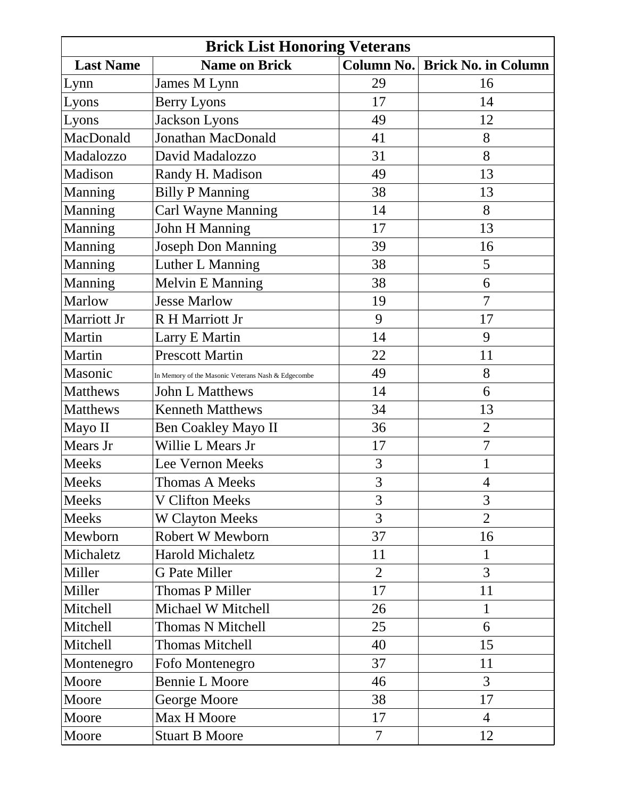| <b>Brick List Honoring Veterans</b> |                                                    |                |                            |
|-------------------------------------|----------------------------------------------------|----------------|----------------------------|
| <b>Last Name</b>                    | <b>Name on Brick</b>                               | Column No.     | <b>Brick No. in Column</b> |
| Lynn                                | James M Lynn                                       | 29             | 16                         |
| Lyons                               | <b>Berry Lyons</b>                                 | 17             | 14                         |
| Lyons                               | Jackson Lyons                                      | 49             | 12                         |
| MacDonald                           | Jonathan MacDonald                                 | 41             | 8                          |
| Madalozzo                           | David Madalozzo                                    | 31             | 8                          |
| Madison                             | Randy H. Madison                                   | 49             | 13                         |
| Manning                             | <b>Billy P Manning</b>                             | 38             | 13                         |
| Manning                             | Carl Wayne Manning                                 | 14             | 8                          |
| Manning                             | <b>John H Manning</b>                              | 17             | 13                         |
| Manning                             | <b>Joseph Don Manning</b>                          | 39             | 16                         |
| Manning                             | Luther L Manning                                   | 38             | 5                          |
| Manning                             | <b>Melvin E Manning</b>                            | 38             | 6                          |
| Marlow                              | <b>Jesse Marlow</b>                                | 19             | 7                          |
| Marriott Jr                         | R H Marriott Jr                                    | 9              | 17                         |
| Martin                              | Larry E Martin                                     | 14             | 9                          |
| Martin                              | <b>Prescott Martin</b>                             | 22             | 11                         |
| Masonic                             | In Memory of the Masonic Veterans Nash & Edgecombe | 49             | 8                          |
| Matthews                            | <b>John L Matthews</b>                             | 14             | 6                          |
| Matthews                            | <b>Kenneth Matthews</b>                            | 34             | 13                         |
| Mayo II                             | <b>Ben Coakley Mayo II</b>                         | 36             | $\mathbf{2}$               |
| Mears Jr                            | Willie L Mears Jr                                  | 17             | $\overline{7}$             |
| <b>Meeks</b>                        | <b>Lee Vernon Meeks</b>                            | 3              | 1                          |
| Meeks                               | <b>Thomas A Meeks</b>                              | 3              | $\overline{4}$             |
| <b>Meeks</b>                        | <b>V Clifton Meeks</b>                             | 3              | 3                          |
| Meeks                               | <b>W Clayton Meeks</b>                             | $\overline{3}$ | $\overline{2}$             |
| Mewborn                             | Robert W Mewborn                                   | 37             | 16                         |
| Michaletz                           | <b>Harold Michaletz</b>                            | 11             | $\mathbf{1}$               |
| Miller                              | <b>G</b> Pate Miller                               | $\overline{2}$ | 3                          |
| Miller                              | <b>Thomas P Miller</b>                             | 17             | 11                         |
| Mitchell                            | Michael W Mitchell                                 | 26             | $\mathbf{1}$               |
| Mitchell                            | Thomas N Mitchell                                  | 25             | 6                          |
| Mitchell                            | <b>Thomas Mitchell</b>                             | 40             | 15                         |
| Montenegro                          | Fofo Montenegro                                    | 37             | 11                         |
| Moore                               | <b>Bennie L Moore</b>                              | 46             | 3                          |
| Moore                               | George Moore                                       | 38             | 17                         |
| Moore                               | Max H Moore                                        | 17             | $\overline{4}$             |
| Moore                               | <b>Stuart B Moore</b>                              | $\overline{7}$ | 12                         |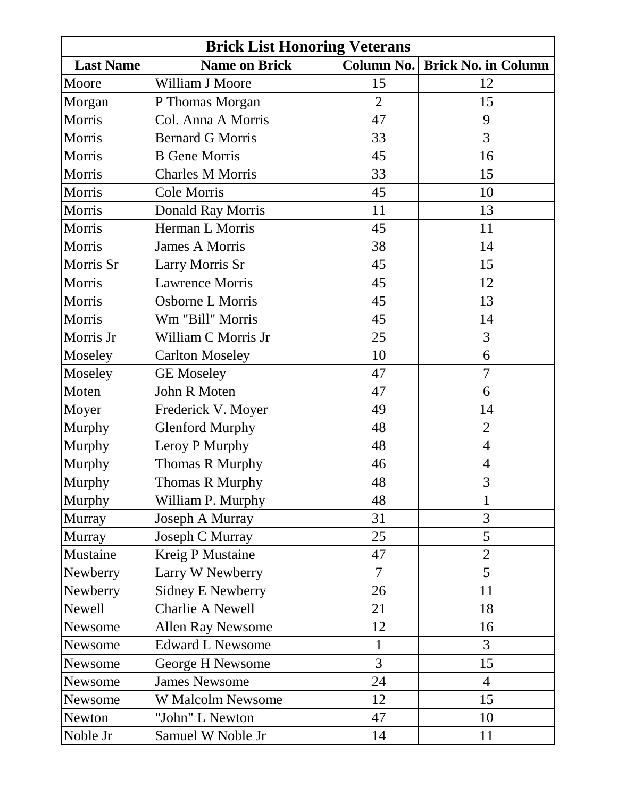| <b>Brick List Honoring Veterans</b> |                          |                   |                            |
|-------------------------------------|--------------------------|-------------------|----------------------------|
| <b>Last Name</b>                    | <b>Name on Brick</b>     | <b>Column No.</b> | <b>Brick No. in Column</b> |
| Moore                               | William J Moore          | 15                | 12                         |
| Morgan                              | P Thomas Morgan          | $\overline{2}$    | 15                         |
| Morris                              | Col. Anna A Morris       | 47                | 9                          |
| Morris                              | <b>Bernard G Morris</b>  | 33                | 3                          |
| Morris                              | <b>B</b> Gene Morris     | 45                | 16                         |
| Morris                              | <b>Charles M Morris</b>  | 33                | 15                         |
| Morris                              | Cole Morris              | 45                | 10                         |
| Morris                              | Donald Ray Morris        | 11                | 13                         |
| Morris                              | Herman L Morris          | 45                | 11                         |
| Morris                              | <b>James A Morris</b>    | 38                | 14                         |
| Morris Sr                           | Larry Morris Sr          | 45                | 15                         |
| Morris                              | <b>Lawrence Morris</b>   | 45                | 12                         |
| Morris                              | Osborne L Morris         | 45                | 13                         |
| Morris                              | Wm "Bill" Morris         | 45                | 14                         |
| Morris Jr                           | William C Morris Jr      | 25                | 3                          |
| Moseley                             | <b>Carlton Moseley</b>   | 10                | 6                          |
| Moseley                             | <b>GE Moseley</b>        | 47                | $\overline{7}$             |
| Moten                               | John R Moten             | 47                | 6                          |
| Moyer                               | Frederick V. Moyer       | 49                | 14                         |
| Murphy                              | <b>Glenford Murphy</b>   | 48                | $\overline{2}$             |
| Murphy                              | Leroy P Murphy           | 48                | $\overline{4}$             |
| Murphy                              | Thomas R Murphy          | 46                | $\overline{4}$             |
| Murphy                              | Thomas R Murphy          | 48                | 3                          |
| <b>Murphy</b>                       | William P. Murphy        | 48                | 1                          |
| Murray                              | Joseph A Murray          | 31                | 3                          |
| Murray                              | Joseph C Murray          | 25                | 5                          |
| Mustaine                            | <b>Kreig P Mustaine</b>  | 47                | $\overline{2}$             |
| Newberry                            | Larry W Newberry         | 7                 | 5                          |
| Newberry                            | <b>Sidney E Newberry</b> | 26                | 11                         |
| Newell                              | Charlie A Newell         | 21                | 18                         |
| Newsome                             | <b>Allen Ray Newsome</b> | 12                | 16                         |
| Newsome                             | <b>Edward L Newsome</b>  | $\mathbf{1}$      | 3                          |
| Newsome                             | George H Newsome         | 3                 | 15                         |
| Newsome                             | <b>James Newsome</b>     | 24                | $\overline{4}$             |
| Newsome                             | W Malcolm Newsome        | 12                | 15                         |
| Newton                              | "John" L Newton          | 47                | 10                         |
| Noble Jr                            | Samuel W Noble Jr        | 14                | 11                         |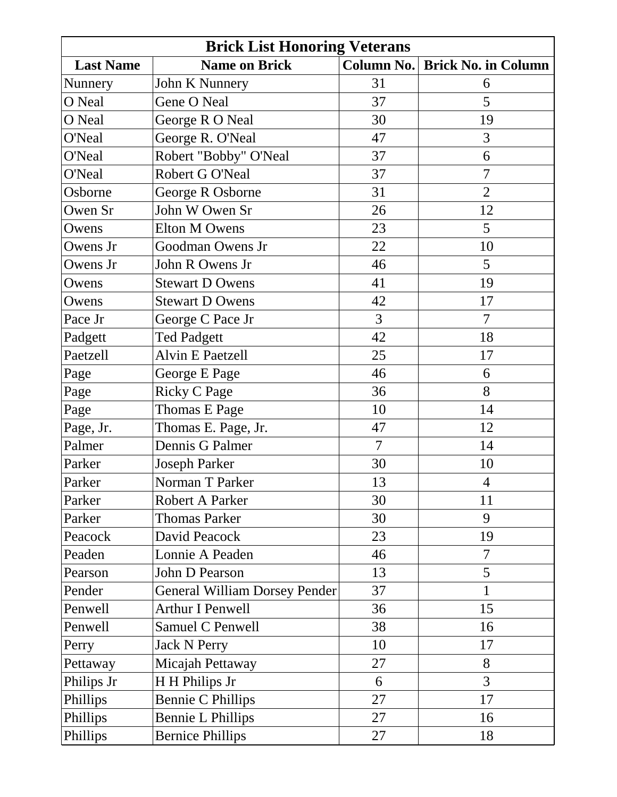| <b>Brick List Honoring Veterans</b> |                               |                |                            |
|-------------------------------------|-------------------------------|----------------|----------------------------|
| <b>Last Name</b>                    | <b>Name on Brick</b>          | Column No.     | <b>Brick No. in Column</b> |
| Nunnery                             | John K Nunnery                | 31             | 6                          |
| O Neal                              | Gene O Neal                   | 37             | 5                          |
| O Neal                              | George R O Neal               | 30             | 19                         |
| O'Neal                              | George R. O'Neal              | 47             | 3                          |
| O'Neal                              | Robert "Bobby" O'Neal         | 37             | 6                          |
| O'Neal                              | Robert G O'Neal               | 37             | $\overline{7}$             |
| Osborne                             | George R Osborne              | 31             | $\overline{2}$             |
| Owen Sr                             | John W Owen Sr                | 26             | 12                         |
| Owens                               | Elton M Owens                 | 23             | 5                          |
| Owens Jr                            | Goodman Owens Jr              | 22             | 10                         |
| Owens Jr                            | John R Owens Jr               | 46             | 5                          |
| Owens                               | <b>Stewart D Owens</b>        | 41             | 19                         |
| Owens                               | <b>Stewart D Owens</b>        | 42             | 17                         |
| Pace Jr                             | George C Pace Jr              | 3              | $\overline{7}$             |
| Padgett                             | <b>Ted Padgett</b>            | 42             | 18                         |
| Paetzell                            | <b>Alvin E Paetzell</b>       | 25             | 17                         |
| Page                                | George E Page                 | 46             | 6                          |
| Page                                | <b>Ricky C Page</b>           | 36             | 8                          |
| Page                                | Thomas E Page                 | 10             | 14                         |
| Page, Jr.                           | Thomas E. Page, Jr.           | 47             | 12                         |
| Palmer                              | Dennis G Palmer               | $\overline{7}$ | 14                         |
| Parker                              | <b>Joseph Parker</b>          | 30             | 10                         |
| Parker                              | Norman T Parker               | 13             | $\overline{4}$             |
| Parker                              | Robert A Parker               | 30             | 11                         |
| Parker                              | <b>Thomas Parker</b>          | 30             | 9                          |
| Peacock                             | David Peacock                 | 23             | 19                         |
| Peaden                              | Lonnie A Peaden               | 46             | $\overline{7}$             |
| Pearson                             | John D Pearson                | 13             | 5                          |
| Pender                              | General William Dorsey Pender | 37             | $\mathbf{1}$               |
| Penwell                             | <b>Arthur I Penwell</b>       | 36             | 15                         |
| Penwell                             | Samuel C Penwell              | 38             | 16                         |
| Perry                               | <b>Jack N Perry</b>           | 10             | 17                         |
| Pettaway                            | Micajah Pettaway              | 27             | 8                          |
| Philips Jr                          | H H Philips Jr                | 6              | $\overline{3}$             |
| Phillips                            | <b>Bennie C Phillips</b>      | 27             | 17                         |
| Phillips                            | <b>Bennie L Phillips</b>      | 27             | 16                         |
| Phillips                            | <b>Bernice Phillips</b>       | 27             | 18                         |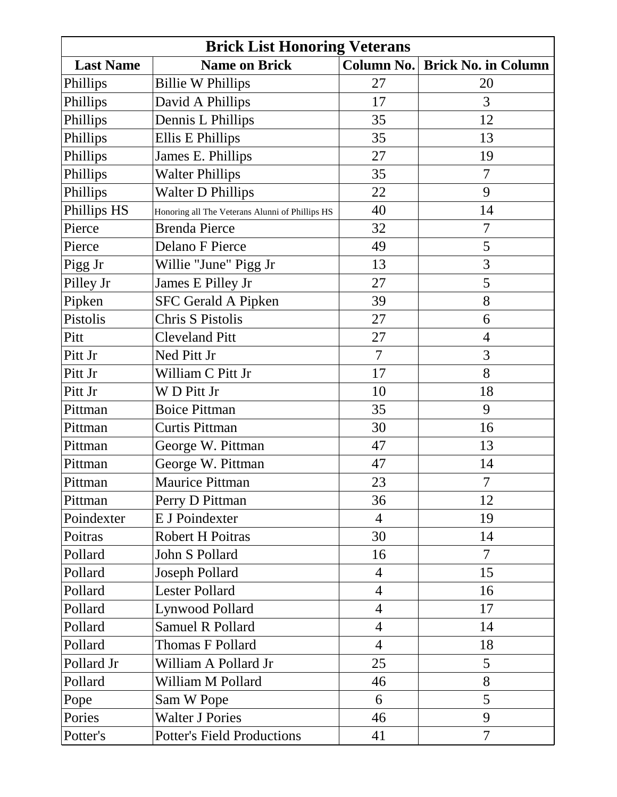| <b>Brick List Honoring Veterans</b> |                                                 |                   |                            |
|-------------------------------------|-------------------------------------------------|-------------------|----------------------------|
| <b>Last Name</b>                    | <b>Name on Brick</b>                            | <b>Column No.</b> | <b>Brick No. in Column</b> |
| Phillips                            | <b>Billie W Phillips</b>                        | 27                | 20                         |
| Phillips                            | David A Phillips                                | 17                | 3                          |
| Phillips                            | Dennis L Phillips                               | 35                | 12                         |
| Phillips                            | Ellis E Phillips                                | 35                | 13                         |
| Phillips                            | James E. Phillips                               | 27                | 19                         |
| Phillips                            | <b>Walter Phillips</b>                          | 35                | $\overline{7}$             |
| Phillips                            | <b>Walter D Phillips</b>                        | 22                | 9                          |
| Phillips HS                         | Honoring all The Veterans Alunni of Phillips HS | 40                | 14                         |
| Pierce                              | <b>Brenda Pierce</b>                            | 32                | 7                          |
| Pierce                              | Delano F Pierce                                 | 49                | 5                          |
| Pigg Jr                             | Willie "June" Pigg Jr                           | 13                | 3                          |
| Pilley Jr                           | James E Pilley Jr                               | 27                | 5                          |
| Pipken                              | <b>SFC Gerald A Pipken</b>                      | 39                | 8                          |
| Pistolis                            | Chris S Pistolis                                | 27                | 6                          |
| Pitt                                | <b>Cleveland Pitt</b>                           | 27                | $\overline{4}$             |
| Pitt Jr                             | Ned Pitt Jr                                     | $\overline{7}$    | 3                          |
| Pitt Jr                             | William C Pitt Jr                               | 17                | 8                          |
| Pitt Jr                             | WD Pitt Jr                                      | 10                | 18                         |
| Pittman                             | <b>Boice Pittman</b>                            | 35                | 9                          |
| Pittman                             | <b>Curtis Pittman</b>                           | 30                | 16                         |
| Pittman                             | George W. Pittman                               | 47                | 13                         |
| Pittman                             | George W. Pittman                               | 47                | 14                         |
| Pittman                             | Maurice Pittman                                 | 23                | $\overline{7}$             |
| Pittman                             | Perry D Pittman                                 | 36                | 12                         |
| Poindexter                          | E J Poindexter                                  | $\overline{4}$    | 19                         |
| Poitras                             | <b>Robert H Poitras</b>                         | 30                | 14                         |
| Pollard                             | John S Pollard                                  | 16                | $\overline{7}$             |
| Pollard                             | Joseph Pollard                                  | $\overline{4}$    | 15                         |
| Pollard                             | <b>Lester Pollard</b>                           | $\overline{4}$    | 16                         |
| Pollard                             | Lynwood Pollard                                 | $\overline{4}$    | 17                         |
| Pollard                             | Samuel R Pollard                                | $\overline{4}$    | 14                         |
| Pollard                             | Thomas F Pollard                                | $\overline{4}$    | 18                         |
| Pollard Jr                          | William A Pollard Jr                            | 25                | 5                          |
| Pollard                             | William M Pollard                               | 46                | 8                          |
| Pope                                | Sam W Pope                                      | 6                 | 5                          |
| Pories                              | <b>Walter J Pories</b>                          | 46                | 9                          |
| Potter's                            | <b>Potter's Field Productions</b>               | 41                | $\overline{7}$             |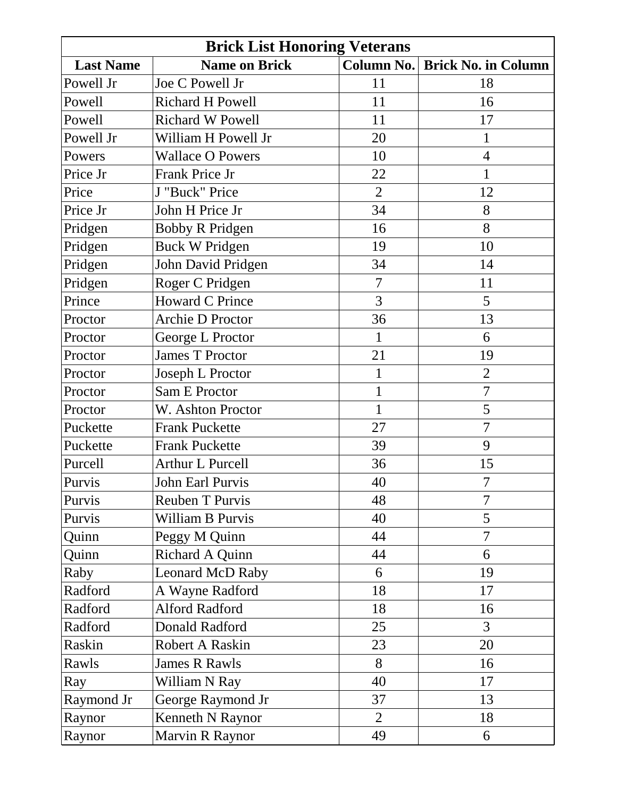| <b>Brick List Honoring Veterans</b> |                         |                   |                            |
|-------------------------------------|-------------------------|-------------------|----------------------------|
| <b>Last Name</b>                    | <b>Name on Brick</b>    | <b>Column No.</b> | <b>Brick No. in Column</b> |
| Powell Jr                           | Joe C Powell Jr         | 11                | 18                         |
| Powell                              | <b>Richard H Powell</b> | 11                | 16                         |
| Powell                              | <b>Richard W Powell</b> | 11                | 17                         |
| Powell Jr                           | William H Powell Jr     | 20                | 1                          |
| Powers                              | <b>Wallace O Powers</b> | 10                | $\overline{4}$             |
| Price Jr                            | Frank Price Jr          | 22                | $\mathbf{1}$               |
| Price                               | J "Buck" Price          | $\overline{2}$    | 12                         |
| Price Jr                            | John H Price Jr         | 34                | 8                          |
| Pridgen                             | <b>Bobby R Pridgen</b>  | 16                | 8                          |
| Pridgen                             | <b>Buck W Pridgen</b>   | 19                | 10                         |
| Pridgen                             | John David Pridgen      | 34                | 14                         |
| Pridgen                             | Roger C Pridgen         | $\overline{7}$    | 11                         |
| Prince                              | <b>Howard C Prince</b>  | 3                 | 5                          |
| Proctor                             | <b>Archie D Proctor</b> | 36                | 13                         |
| Proctor                             | George L Proctor        | $\mathbf{1}$      | 6                          |
| Proctor                             | <b>James T Proctor</b>  | 21                | 19                         |
| Proctor                             | Joseph L Proctor        | $\mathbf 1$       | $\overline{2}$             |
| Proctor                             | Sam E Proctor           | 1                 | $\overline{7}$             |
| Proctor                             | W. Ashton Proctor       | $\mathbf 1$       | 5                          |
| Puckette                            | <b>Frank Puckette</b>   | 27                | $\overline{7}$             |
| Puckette                            | <b>Frank Puckette</b>   | 39                | 9                          |
| Purcell                             | <b>Arthur L Purcell</b> | 36                | 15                         |
| Purvis                              | <b>John Earl Purvis</b> | 40                | $\overline{7}$             |
| Purvis                              | <b>Reuben T Purvis</b>  | 48                | $\overline{7}$             |
| Purvis                              | William B Purvis        | 40                | 5                          |
| Quinn                               | Peggy M Quinn           | 44                | $\overline{7}$             |
| Quinn                               | Richard A Quinn         | 44                | 6                          |
| Raby                                | <b>Leonard McD Raby</b> | 6                 | 19                         |
| Radford                             | A Wayne Radford         | 18                | 17                         |
| Radford                             | <b>Alford Radford</b>   | 18                | 16                         |
| Radford                             | Donald Radford          | 25                | $\overline{3}$             |
| Raskin                              | Robert A Raskin         | 23                | 20                         |
| Rawls                               | <b>James R Rawls</b>    | 8                 | 16                         |
| Ray                                 | William N Ray           | 40                | 17                         |
| Raymond Jr                          | George Raymond Jr       | 37                | 13                         |
| Raynor                              | Kenneth N Raynor        | $\overline{2}$    | 18                         |
| Raynor                              | <b>Marvin R Raynor</b>  | 49                | 6                          |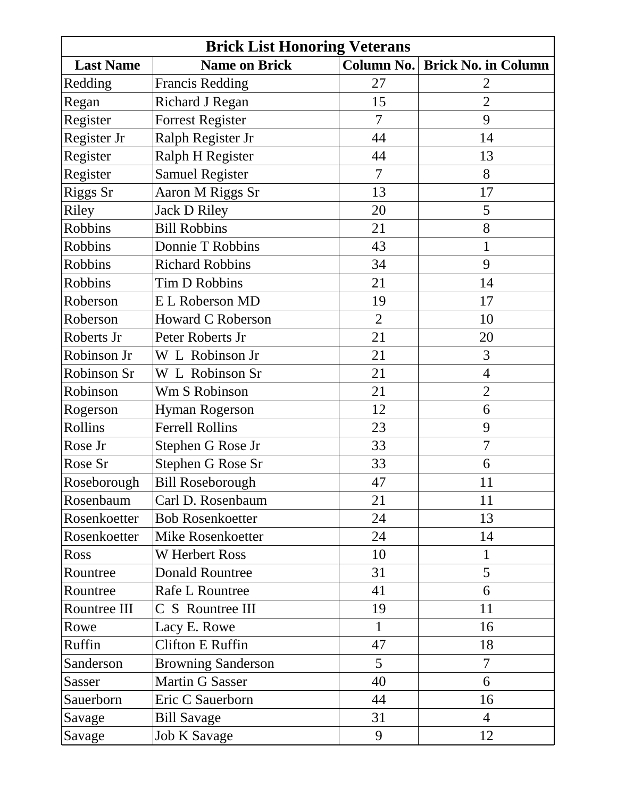| <b>Brick List Honoring Veterans</b> |                           |                   |                            |
|-------------------------------------|---------------------------|-------------------|----------------------------|
| <b>Last Name</b>                    | <b>Name on Brick</b>      | <b>Column No.</b> | <b>Brick No. in Column</b> |
| Redding                             | <b>Francis Redding</b>    | 27                | 2                          |
| Regan                               | <b>Richard J Regan</b>    | 15                | $\overline{2}$             |
| Register                            | <b>Forrest Register</b>   | 7                 | 9                          |
| Register Jr                         | Ralph Register Jr         | 44                | 14                         |
| Register                            | Ralph H Register          | 44                | 13                         |
| Register                            | <b>Samuel Register</b>    | 7                 | 8                          |
| Riggs Sr                            | Aaron M Riggs Sr          | 13                | 17                         |
| Riley                               | <b>Jack D Riley</b>       | 20                | 5                          |
| Robbins                             | <b>Bill Robbins</b>       | 21                | 8                          |
| Robbins                             | Donnie T Robbins          | 43                | 1                          |
| <b>Robbins</b>                      | <b>Richard Robbins</b>    | 34                | 9                          |
| <b>Robbins</b>                      | Tim D Robbins             | 21                | 14                         |
| Roberson                            | <b>EL Roberson MD</b>     | 19                | 17                         |
| Roberson                            | <b>Howard C Roberson</b>  | $\overline{2}$    | 10                         |
| Roberts Jr                          | Peter Roberts Jr          | 21                | 20                         |
| Robinson Jr                         | W L Robinson Jr           | 21                | 3                          |
| Robinson Sr                         | W L Robinson Sr           | 21                | $\overline{4}$             |
| Robinson                            | Wm S Robinson             | 21                | $\overline{2}$             |
| Rogerson                            | <b>Hyman Rogerson</b>     | 12                | 6                          |
| Rollins                             | <b>Ferrell Rollins</b>    | 23                | 9                          |
| Rose Jr                             | Stephen G Rose Jr         | 33                | $\overline{7}$             |
| Rose Sr                             | Stephen G Rose Sr         | 33                | 6                          |
| Roseborough                         | <b>Bill Roseborough</b>   | 47                | 11                         |
| Rosenbaum                           | Carl D. Rosenbaum         | 21                | 11                         |
| Rosenkoetter                        | <b>Bob Rosenkoetter</b>   | 24                | 13                         |
| Rosenkoetter                        | Mike Rosenkoetter         | 24                | 14                         |
| Ross                                | <b>W</b> Herbert Ross     | 10                | $\mathbf{1}$               |
| Rountree                            | <b>Donald Rountree</b>    | 31                | 5                          |
| Rountree                            | <b>Rafe L Rountree</b>    | 41                | 6                          |
| Rountree III                        | C S Rountree III          | 19                | 11                         |
| Rowe                                | Lacy E. Rowe              | $\mathbf{1}$      | 16                         |
| Ruffin                              | <b>Clifton E Ruffin</b>   | 47                | 18                         |
| Sanderson                           | <b>Browning Sanderson</b> | 5                 | $\overline{7}$             |
| Sasser                              | <b>Martin G Sasser</b>    | 40                | 6                          |
| Sauerborn                           | Eric C Sauerborn          | 44                | 16                         |
| Savage                              | <b>Bill Savage</b>        | 31                | $\overline{4}$             |
| Savage                              | <b>Job K Savage</b>       | 9                 | 12                         |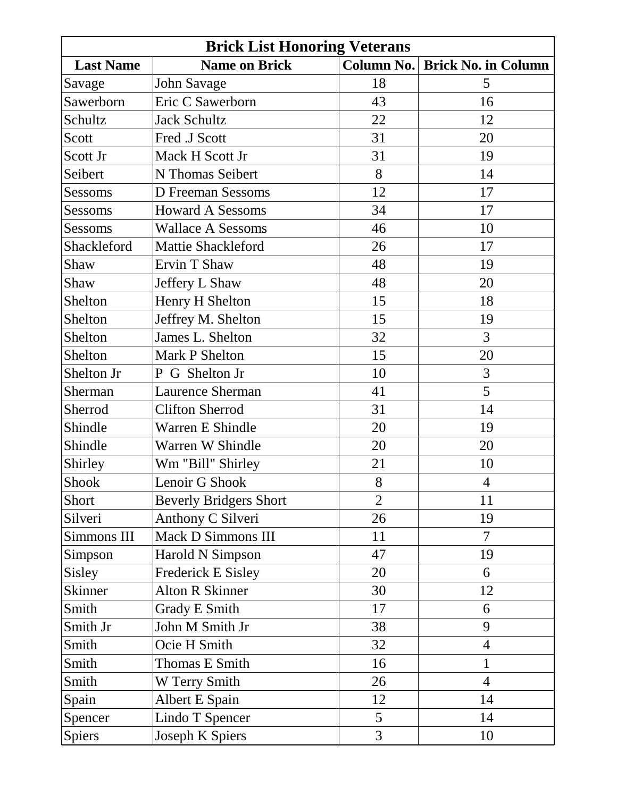| <b>Brick List Honoring Veterans</b> |                               |                |                            |
|-------------------------------------|-------------------------------|----------------|----------------------------|
| <b>Last Name</b>                    | <b>Name on Brick</b>          | Column No.     | <b>Brick No. in Column</b> |
| Savage                              | <b>John Savage</b>            | 18             | 5                          |
| Sawerborn                           | Eric C Sawerborn              | 43             | 16                         |
| Schultz                             | <b>Jack Schultz</b>           | 22             | 12                         |
| Scott                               | Fred .J Scott                 | 31             | 20                         |
| Scott Jr                            | Mack H Scott Jr               | 31             | 19                         |
| Seibert                             | N Thomas Seibert              | 8              | 14                         |
| Sessoms                             | <b>D</b> Freeman Sessoms      | 12             | 17                         |
| Sessoms                             | <b>Howard A Sessoms</b>       | 34             | 17                         |
| Sessoms                             | <b>Wallace A Sessoms</b>      | 46             | 10                         |
| Shackleford                         | <b>Mattie Shackleford</b>     | 26             | 17                         |
| Shaw                                | Ervin T Shaw                  | 48             | 19                         |
| Shaw                                | Jeffery L Shaw                | 48             | 20                         |
| Shelton                             | Henry H Shelton               | 15             | 18                         |
| Shelton                             | Jeffrey M. Shelton            | 15             | 19                         |
| Shelton                             | James L. Shelton              | 32             | 3                          |
| Shelton                             | Mark P Shelton                | 15             | 20                         |
| Shelton Jr                          | P G Shelton Jr                | 10             | 3                          |
| Sherman                             | <b>Laurence Sherman</b>       | 41             | 5                          |
| Sherrod                             | <b>Clifton Sherrod</b>        | 31             | 14                         |
| Shindle                             | Warren E Shindle              | 20             | 19                         |
| Shindle                             | Warren W Shindle              | 20             | 20                         |
| Shirley                             | Wm "Bill" Shirley             | 21             | 10                         |
| <b>Shook</b>                        | Lenoir G Shook                | 8              | $\overline{4}$             |
| Short                               | <b>Beverly Bridgers Short</b> | $\overline{2}$ | 11                         |
| Silveri                             | Anthony C Silveri             | 26             | 19                         |
| Simmons III                         | Mack D Simmons III            | 11             | $\overline{7}$             |
| Simpson                             | Harold N Simpson              | 47             | 19                         |
| Sisley                              | <b>Frederick E Sisley</b>     | 20             | 6                          |
| Skinner                             | <b>Alton R Skinner</b>        | 30             | 12                         |
| Smith                               | <b>Grady E Smith</b>          | 17             | 6                          |
| Smith Jr                            | John M Smith Jr               | 38             | 9                          |
| Smith                               | Ocie H Smith                  | 32             | $\overline{4}$             |
| Smith                               | Thomas E Smith                | 16             | $\mathbf{1}$               |
| Smith                               | W Terry Smith                 | 26             | $\overline{4}$             |
| Spain                               | Albert E Spain                | 12             | 14                         |
| Spencer                             | Lindo T Spencer               | 5              | 14                         |
| Spiers                              | Joseph K Spiers               | 3              | 10                         |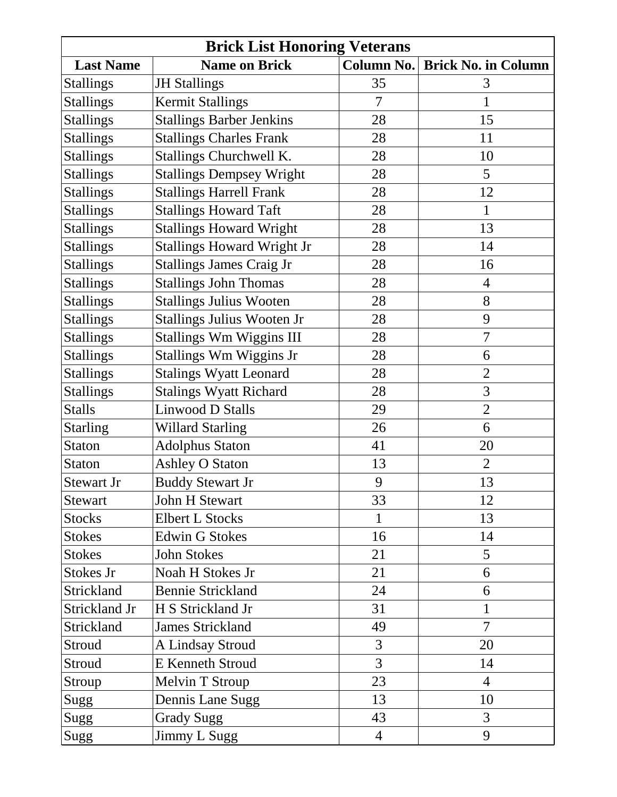| <b>Brick List Honoring Veterans</b> |                                   |                |                            |
|-------------------------------------|-----------------------------------|----------------|----------------------------|
| <b>Last Name</b>                    | <b>Name on Brick</b>              | Column No.     | <b>Brick No. in Column</b> |
| <b>Stallings</b>                    | <b>JH Stallings</b>               | 35             | 3                          |
| <b>Stallings</b>                    | <b>Kermit Stallings</b>           | 7              | 1                          |
| <b>Stallings</b>                    | <b>Stallings Barber Jenkins</b>   | 28             | 15                         |
| <b>Stallings</b>                    | <b>Stallings Charles Frank</b>    | 28             | 11                         |
| <b>Stallings</b>                    | Stallings Churchwell K.           | 28             | 10                         |
| <b>Stallings</b>                    | <b>Stallings Dempsey Wright</b>   | 28             | 5                          |
| <b>Stallings</b>                    | <b>Stallings Harrell Frank</b>    | 28             | 12                         |
| <b>Stallings</b>                    | <b>Stallings Howard Taft</b>      | 28             | $\mathbf{1}$               |
| <b>Stallings</b>                    | <b>Stallings Howard Wright</b>    | 28             | 13                         |
| <b>Stallings</b>                    | <b>Stallings Howard Wright Jr</b> | 28             | 14                         |
| <b>Stallings</b>                    | <b>Stallings James Craig Jr</b>   | 28             | 16                         |
| <b>Stallings</b>                    | <b>Stallings John Thomas</b>      | 28             | $\overline{4}$             |
| <b>Stallings</b>                    | <b>Stallings Julius Wooten</b>    | 28             | 8                          |
| <b>Stallings</b>                    | Stallings Julius Wooten Jr        | 28             | 9                          |
| <b>Stallings</b>                    | Stallings Wm Wiggins III          | 28             | $\overline{7}$             |
| <b>Stallings</b>                    | Stallings Wm Wiggins Jr           | 28             | 6                          |
| <b>Stallings</b>                    | <b>Stalings Wyatt Leonard</b>     | 28             | $\overline{2}$             |
| <b>Stallings</b>                    | <b>Stalings Wyatt Richard</b>     | 28             | 3                          |
| <b>Stalls</b>                       | Linwood D Stalls                  | 29             | $\overline{2}$             |
| <b>Starling</b>                     | <b>Willard Starling</b>           | 26             | 6                          |
| <b>Staton</b>                       | <b>Adolphus Staton</b>            | 41             | 20                         |
| Staton                              | <b>Ashley O Staton</b>            | 13             | $\overline{2}$             |
| <b>Stewart Jr</b>                   | <b>Buddy Stewart Jr</b>           | 9              | 13                         |
| <b>Stewart</b>                      | <b>John H Stewart</b>             | 33             | 12                         |
| <b>Stocks</b>                       | <b>Elbert L Stocks</b>            | 1              | 13                         |
| <b>Stokes</b>                       | <b>Edwin G Stokes</b>             | 16             | 14                         |
| <b>Stokes</b>                       | John Stokes                       | 21             | 5                          |
| Stokes Jr                           | Noah H Stokes Jr                  | 21             | 6                          |
| Strickland                          | <b>Bennie Strickland</b>          | 24             | 6                          |
| Strickland Jr                       | H S Strickland Jr                 | 31             | $\mathbf{1}$               |
| Strickland                          | <b>James Strickland</b>           | 49             | $\overline{7}$             |
| Stroud                              | A Lindsay Stroud                  | 3              | 20                         |
| Stroud                              | <b>E</b> Kenneth Stroud           | $\overline{3}$ | 14                         |
| Stroup                              | Melvin T Stroup                   | 23             | $\overline{4}$             |
| Sugg                                | Dennis Lane Sugg                  | 13             | 10                         |
| Sugg                                | <b>Grady Sugg</b>                 | 43             | 3                          |
| Sugg                                | Jimmy L Sugg                      | $\overline{4}$ | 9                          |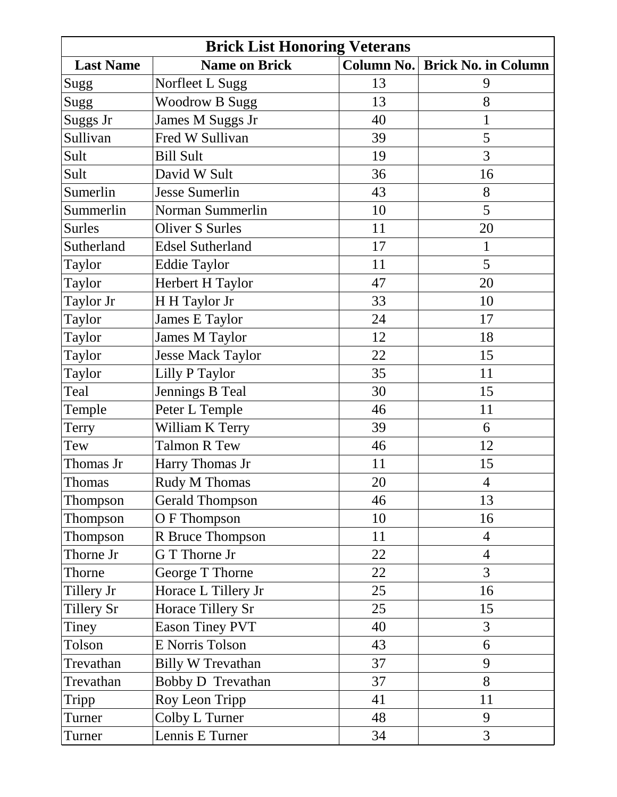| <b>Brick List Honoring Veterans</b> |                          |                   |                            |
|-------------------------------------|--------------------------|-------------------|----------------------------|
| <b>Last Name</b>                    | <b>Name on Brick</b>     | <b>Column No.</b> | <b>Brick No. in Column</b> |
| Sugg                                | Norfleet L Sugg          | 13                | 9                          |
| Sugg                                | <b>Woodrow B Sugg</b>    | 13                | 8                          |
| Suggs Jr                            | James M Suggs Jr         | 40                | 1                          |
| Sullivan                            | Fred W Sullivan          | 39                | 5                          |
| Sult                                | <b>Bill Sult</b>         | 19                | 3                          |
| Sult                                | David W Sult             | 36                | 16                         |
| Sumerlin                            | <b>Jesse Sumerlin</b>    | 43                | 8                          |
| Summerlin                           | Norman Summerlin         | 10                | 5                          |
| <b>Surles</b>                       | <b>Oliver S Surles</b>   | 11                | 20                         |
| Sutherland                          | <b>Edsel Sutherland</b>  | 17                | $\mathbf{1}$               |
| Taylor                              | <b>Eddie Taylor</b>      | 11                | 5                          |
| Taylor                              | Herbert H Taylor         | 47                | 20                         |
| Taylor Jr                           | H H Taylor Jr            | 33                | 10                         |
| <b>Taylor</b>                       | James E Taylor           | 24                | 17                         |
| Taylor                              | James M Taylor           | 12                | 18                         |
| Taylor                              | <b>Jesse Mack Taylor</b> | 22                | 15                         |
| Taylor                              | Lilly P Taylor           | 35                | 11                         |
| Teal                                | Jennings B Teal          | 30                | 15                         |
| Temple                              | Peter L Temple           | 46                | 11                         |
| Terry                               | William K Terry          | 39                | 6                          |
| Tew                                 | <b>Talmon R Tew</b>      | 46                | 12                         |
| Thomas Jr                           | Harry Thomas Jr          | 11                | 15                         |
| Thomas                              | <b>Rudy M Thomas</b>     | 20                | $\overline{4}$             |
| Thompson                            | <b>Gerald Thompson</b>   | 46                | 13                         |
| Thompson                            | O F Thompson             | 10                | 16                         |
| Thompson                            | R Bruce Thompson         | 11                | $\overline{4}$             |
| Thorne Jr                           | G T Thorne Jr            | 22                | $\overline{4}$             |
| Thorne                              | George T Thorne          | 22                | 3                          |
| Tillery Jr                          | Horace L Tillery Jr      | 25                | 16                         |
| Tillery Sr                          | Horace Tillery Sr        | 25                | 15                         |
| Tiney                               | <b>Eason Tiney PVT</b>   | 40                | $\overline{3}$             |
| Tolson                              | E Norris Tolson          | 43                | 6                          |
| Trevathan                           | <b>Billy W Trevathan</b> | 37                | 9                          |
| Trevathan                           | Bobby D Trevathan        | 37                | 8                          |
| Tripp                               | Roy Leon Tripp           | 41                | 11                         |
| Turner                              | Colby L Turner           | 48                | 9                          |
| Turner                              | Lennis E Turner          | 34                | 3                          |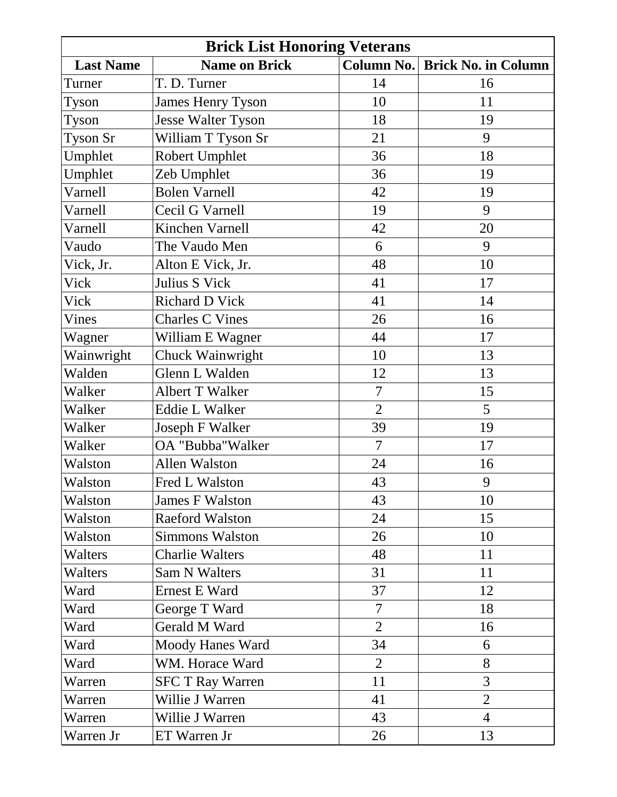|                  | <b>Brick List Honoring Veterans</b> |                   |                            |
|------------------|-------------------------------------|-------------------|----------------------------|
| <b>Last Name</b> | <b>Name on Brick</b>                | <b>Column No.</b> | <b>Brick No. in Column</b> |
| Turner           | T. D. Turner                        | 14                | 16                         |
| Tyson            | <b>James Henry Tyson</b>            | 10                | 11                         |
| Tyson            | <b>Jesse Walter Tyson</b>           | 18                | 19                         |
| Tyson Sr         | William T Tyson Sr                  | 21                | 9                          |
| Umphlet          | <b>Robert Umphlet</b>               | 36                | 18                         |
| Umphlet          | Zeb Umphlet                         | 36                | 19                         |
| Varnell          | <b>Bolen Varnell</b>                | 42                | 19                         |
| Varnell          | Cecil G Varnell                     | 19                | 9                          |
| Varnell          | Kinchen Varnell                     | 42                | 20                         |
| Vaudo            | The Vaudo Men                       | 6                 | 9                          |
| Vick, Jr.        | Alton E Vick, Jr.                   | 48                | 10                         |
| Vick             | Julius S Vick                       | 41                | 17                         |
| Vick             | <b>Richard D Vick</b>               | 41                | 14                         |
| Vines            | <b>Charles C Vines</b>              | 26                | 16                         |
| Wagner           | William E Wagner                    | 44                | 17                         |
| Wainwright       | Chuck Wainwright                    | 10                | 13                         |
| Walden           | Glenn L Walden                      | 12                | 13                         |
| Walker           | Albert T Walker                     | $\overline{7}$    | 15                         |
| Walker           | <b>Eddie L Walker</b>               | $\overline{2}$    | 5                          |
| Walker           | Joseph F Walker                     | 39                | 19                         |
| Walker           | OA "Bubba" Walker                   | 7                 | 17                         |
| Walston          | <b>Allen Walston</b>                | 24                | 16                         |
| Walston          | Fred L Walston                      | 43                | 9                          |
| Walston          | <b>James F Walston</b>              | 43                | 10                         |
| Walston          | <b>Raeford Walston</b>              | 24                | 15                         |
| Walston          | <b>Simmons Walston</b>              | 26                | 10                         |
| Walters          | <b>Charlie Walters</b>              | 48                | 11                         |
| Walters          | Sam N Walters                       | 31                | 11                         |
| Ward             | <b>Ernest E Ward</b>                | 37                | 12                         |
| Ward             | George T Ward                       | $\overline{7}$    | 18                         |
| Ward             | Gerald M Ward                       | $\overline{2}$    | 16                         |
| Ward             | <b>Moody Hanes Ward</b>             | 34                | 6                          |
| Ward             | WM. Horace Ward                     | $\overline{2}$    | 8                          |
| Warren           | <b>SFC T Ray Warren</b>             | 11                | 3                          |
| Warren           | Willie J Warren                     | 41                | $\overline{2}$             |
| Warren           | Willie J Warren                     | 43                | $\overline{4}$             |
| Warren Jr        | ET Warren Jr                        | 26                | 13                         |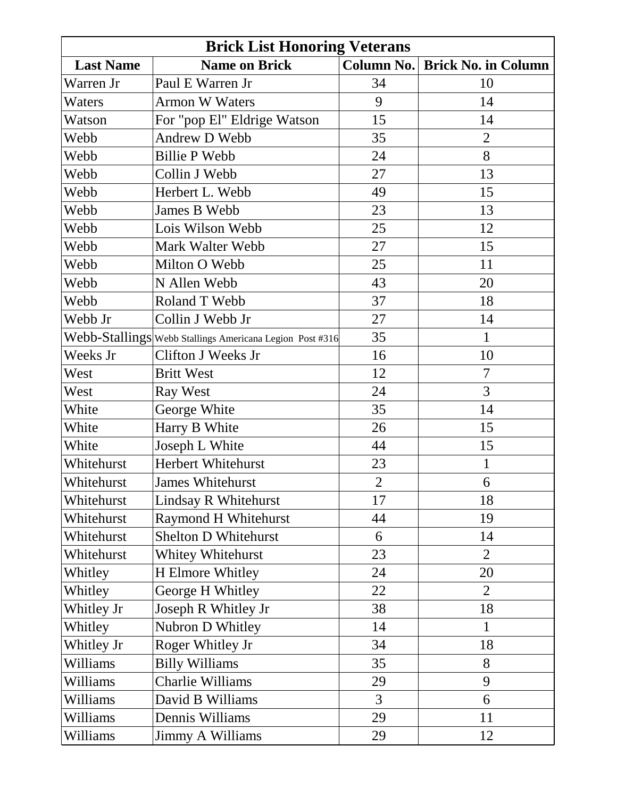|                  | <b>Brick List Honoring Veterans</b>                      |                |                            |
|------------------|----------------------------------------------------------|----------------|----------------------------|
| <b>Last Name</b> | <b>Name on Brick</b>                                     | Column No.     | <b>Brick No. in Column</b> |
| Warren Jr        | Paul E Warren Jr                                         | 34             | 10                         |
| Waters           | <b>Armon W Waters</b>                                    | 9              | 14                         |
| Watson           | For "pop El" Eldrige Watson                              | 15             | 14                         |
| Webb             | Andrew D Webb                                            | 35             | $\overline{2}$             |
| Webb             | <b>Billie P Webb</b>                                     | 24             | 8                          |
| Webb             | Collin J Webb                                            | 27             | 13                         |
| Webb             | Herbert L. Webb                                          | 49             | 15                         |
| Webb             | James B Webb                                             | 23             | 13                         |
| Webb             | Lois Wilson Webb                                         | 25             | 12                         |
| Webb             | Mark Walter Webb                                         | 27             | 15                         |
| Webb             | Milton O Webb                                            | 25             | 11                         |
| Webb             | N Allen Webb                                             | 43             | 20                         |
| Webb             | Roland T Webb                                            | 37             | 18                         |
| Webb Jr          | Collin J Webb Jr                                         | 27             | 14                         |
|                  | Webb-Stallings Webb Stallings Americana Legion Post #316 | 35             | $\mathbf{1}$               |
| Weeks Jr         | Clifton J Weeks Jr                                       | 16             | 10                         |
| West             | <b>Britt West</b>                                        | 12             | $\overline{7}$             |
| West             | <b>Ray West</b>                                          | 24             | 3                          |
| White            | George White                                             | 35             | 14                         |
| White            | Harry B White                                            | 26             | 15                         |
| White            | Joseph L White                                           | 44             | 15                         |
| Whitehurst       | Herbert Whitehurst                                       | 23             | $\mathbf{1}$               |
| Whitehurst       | <b>James Whitehurst</b>                                  | $\overline{2}$ | 6                          |
| Whitehurst       | Lindsay R Whitehurst                                     | 17             | 18                         |
| Whitehurst       | <b>Raymond H Whitehurst</b>                              | 44             | 19                         |
| Whitehurst       | <b>Shelton D Whitehurst</b>                              | 6              | 14                         |
| Whitehurst       | <b>Whitey Whitehurst</b>                                 | 23             | $\overline{2}$             |
| Whitley          | H Elmore Whitley                                         | 24             | 20                         |
| Whitley          | George H Whitley                                         | 22             | $\overline{2}$             |
| Whitley Jr       | Joseph R Whitley Jr                                      | 38             | 18                         |
| Whitley          | Nubron D Whitley                                         | 14             | $\mathbf{1}$               |
| Whitley Jr       | Roger Whitley Jr                                         | 34             | 18                         |
| Williams         | <b>Billy Williams</b>                                    | 35             | 8                          |
| Williams         | <b>Charlie Williams</b>                                  | 29             | 9                          |
| Williams         | David B Williams                                         | 3              | 6                          |
| Williams         | Dennis Williams                                          | 29             | 11                         |
| Williams         | Jimmy A Williams                                         | 29             | 12                         |